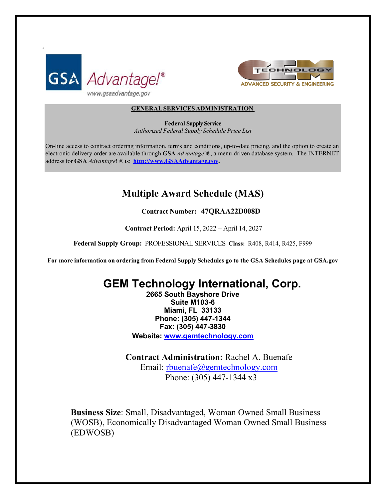

 $\ddot{\phantom{0}}$ 



www.gsaadvantage.gov

#### **GENERAL SERVICES ADMINISTRATION**

**Federal Supply Service** *Authorized Federal Supply Schedule Price List*

On-line access to contract ordering information, terms and conditions, up-to-date pricing, and the option to create an electronic delivery order are available through **GSA** *Advantage*!®, a menu-driven database system. The INTERNET address for **GSA** *Advantage*! ® is: **[http://www.GSAAdvantage.gov.](http://www.gsaadvantage.gov/)**

## **Multiple Award Schedule (MAS)**

 **Contract Number: 47QRAA22D008D** 

**Contract Period:** April 15, 2022 – April 14, 2027

**Federal Supply Group:** PROFESSIONAL SERVICES **Class:** R408, R414, R425, F999

**For more information on ordering from Federal Supply Schedules go to the GSA Schedules page at GSA.gov** 

## **GEM Technology International, Corp.**

**2665 South Bayshore Drive Suite M103-6 Miami, FL 33133 Phone: (305) 447-1344 Fax: [\(305\) 447-3830](http://www.e2zintegral.com/) Website: [www.gemtechnology.com](http://www.gemtechnology.com/)**

**Contract Administration:** Rachel A. Buenafe Email: [rbuenafe@gemtechnology.com](mailto:ajohri@e2zintegral.com) Phone: (305) 447-1344 x3

**Business Size**: Small, Disadvantaged, Woman Owned Small Business (WOSB), Economically Disadvantaged Woman Owned Small Business (EDWOSB)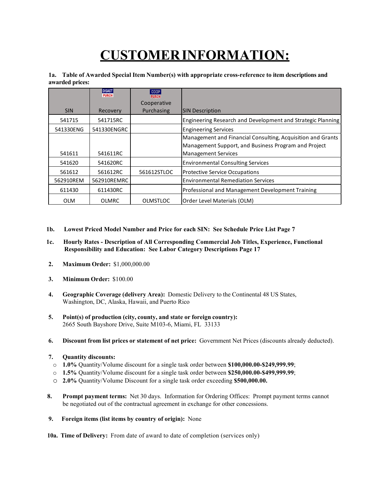# **CUSTOMER INFORMATION:**

**1a. Table of Awarded Special Item Number(s) with appropriate cross-reference to item descriptions and awarded prices:** 

|            | <b>DISAST</b><br><b>PURCH</b> | <b>COOP</b><br><b>PURCH</b> |                                                             |
|------------|-------------------------------|-----------------------------|-------------------------------------------------------------|
|            |                               | Cooperative                 |                                                             |
| <b>SIN</b> | Recovery                      | Purchasing                  | <b>SIN Description</b>                                      |
| 541715     | 541715RC                      |                             | Engineering Research and Development and Strategic Planning |
| 541330ENG  | 541330ENGRC                   |                             | <b>Engineering Services</b>                                 |
|            |                               |                             | Management and Financial Consulting, Acquisition and Grants |
|            |                               |                             | Management Support, and Business Program and Project        |
| 541611     | 541611RC                      |                             | <b>Management Services</b>                                  |
| 541620     | 541620RC                      |                             | <b>Environmental Consulting Services</b>                    |
| 561612     | 561612RC                      | 561612STLOC                 | <b>Protective Service Occupations</b>                       |
| 562910REM  | 562910REMRC                   |                             | <b>Environmental Remediation Services</b>                   |
| 611430     | 611430RC                      |                             | Professional and Management Development Training            |
| <b>OLM</b> | OLMRC                         | OLMSTLOC                    | Order Level Materials (OLM)                                 |

- **1b. Lowest Priced Model Number and Price for each SIN: See Schedule Price List Page 7**
- **1c. Hourly Rates Description of All Corresponding Commercial Job Titles, Experience, Functional Responsibility and Education: See Labor Category Descriptions Page 17**
- **2. Maximum Order:** \$1,000,000.00
- **3. Minimum Order:** \$100.00
- **4. Geographic Coverage (delivery Area):** Domestic Delivery to the Continental 48 US States, Washington, DC, Alaska, Hawaii, and Puerto Rico
- **5. Point(s) of production (city, county, and state or foreign country):** 2665 South Bayshore Drive, Suite M103-6, Miami, FL 33133
- **6. Discount from list prices or statement of net price:** Government Net Prices (discounts already deducted).
- **7. Quantity discounts:**
- o **1.0%** Quantity/Volume discount for a single task order between **\$100,000.00‐\$249,999.99**;
- o **1.5%** Quantity/Volume discount for a single task order between **\$250,000.00‐\$499,999.99**;
- o **2.0%** Quantity/Volume Discount for a single task order exceeding **\$500,000.00.**
- **8. Prompt payment terms:** Net 30 days. Information for Ordering Offices: Prompt payment terms cannot be negotiated out of the contractual agreement in exchange for other concessions.
- **9. Foreign items (list items by country of origin):** None

**10a. Time of Delivery:** From date of award to date of completion (services only)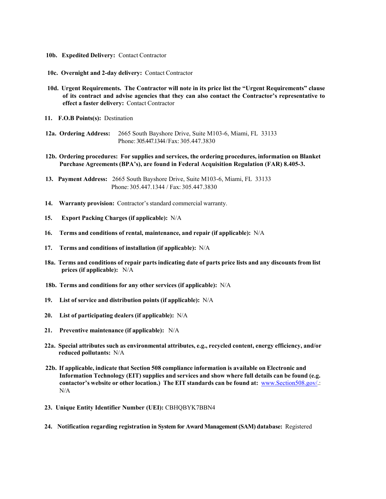- **10b. Expedited Delivery:** Contact Contractor
- 10c. Overnight and 2-day delivery: Contact Contractor
- **10d. Urgent Requirements. The Contractor will note in its price list the "Urgent Requirements" clause of its contract and advise agencies that they can also contact the Contractor's representative to effect a faster delivery:** Contact Contractor
- **11. F.O.B Points(s):** Destination
- **12a. Ordering Address:** 2665 South Bayshore Drive, Suite M103-6, Miami, FL 33133 Phone: 305.447.1344/ Fax: 305.447.3830
- **12b. Ordering procedures: For supplies and services, the ordering procedures, information on Blanket Purchase Agreements (BPA's), are found in Federal Acquisition Regulation (FAR) 8.405-3.**
- **13. Payment Address:** 2665 South Bayshore Drive, Suite M103-6, Miami, FL 33133 Phone: 305.447.1344 / Fax: 305.447.3830
- **14. Warranty provision:** Contractor's standard commercial warranty.
- **15. Export Packing Charges (if applicable):** N/A
- **16. Terms and conditions of rental, maintenance, and repair (if applicable):** N/A
- **17. Terms and conditions of installation (if applicable):** N/A
- **18a. Terms and conditions of repair parts indicating date of parts price lists and any discounts from list prices (if applicable):** N/A
- **18b. Terms and conditions for any other services (if applicable):** N/A
- **19. List of service and distribution points (if applicable):** N/A
- **20. List of participating dealers (if applicable):** N/A
- **21. Preventive maintenance (if applicable):** N/A
- **22a. Special attributes such as environmental attributes, e.g., recycled content, energy efficiency, and/or reduced pollutants:** N/A
- **22b. If applicable, indicate that Section 508 compliance information is available on Electronic and Information Technology (EIT) supplies and services and show where full details can be found (e.g. contactor's website or other location.) The EIT standards can be found at:** [www.Section508.gov/.:](http://www.section508.gov/) N/A
- **23. Unique Entity Identifier Number (UEI):** CBHQBYK7BBN4
- **24. Notification regarding registration in System for Award Management (SAM) database:** Registered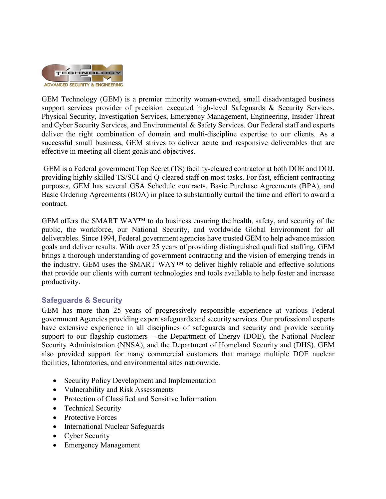

GEM Technology (GEM) is a premier minority woman-owned, small disadvantaged business support services provider of precision executed high-level Safeguards & Security Services, Physical Security, Investigation Services, Emergency Management, Engineering, Insider Threat and Cyber Security Services, and Environmental & Safety Services. Our Federal staff and experts deliver the right combination of domain and multi-discipline expertise to our clients. As a successful small business, GEM strives to deliver acute and responsive deliverables that are effective in meeting all client goals and objectives.

GEM is a Federal government Top Secret (TS) facility-cleared contractor at both DOE and DOJ, providing highly skilled TS/SCI and Q-cleared staff on most tasks. For fast, efficient contracting purposes, GEM has several GSA Schedule contracts, Basic Purchase Agreements (BPA), and Basic Ordering Agreements (BOA) in place to substantially curtail the time and effort to award a contract.

GEM offers the SMART WAY™ to do business ensuring the health, safety, and security of the public, the workforce, our National Security, and worldwide Global Environment for all deliverables. Since 1994, Federal government agencies have trusted GEM to help advance mission goals and deliver results. With over 25 years of providing distinguished qualified staffing, GEM brings a thorough understanding of government contracting and the vision of emerging trends in the industry. GEM uses the SMART WAY™ to deliver highly reliable and effective solutions that provide our clients with current technologies and tools available to help foster and increase productivity.

#### **Safeguards & Security**

GEM has more than 25 years of progressively responsible experience at various Federal government Agencies providing expert safeguards and security services. Our professional experts have extensive experience in all disciplines of safeguards and security and provide security support to our flagship customers – the Department of Energy (DOE), the National Nuclear Security Administration (NNSA), and the Department of Homeland Security and (DHS). GEM also provided support for many commercial customers that manage multiple DOE nuclear facilities, laboratories, and environmental sites nationwide.

- Security Policy Development and Implementation
- Vulnerability and Risk Assessments
- Protection of Classified and Sensitive Information
- Technical Security
- Protective Forces
- International Nuclear Safeguards
- Cyber Security
- Emergency Management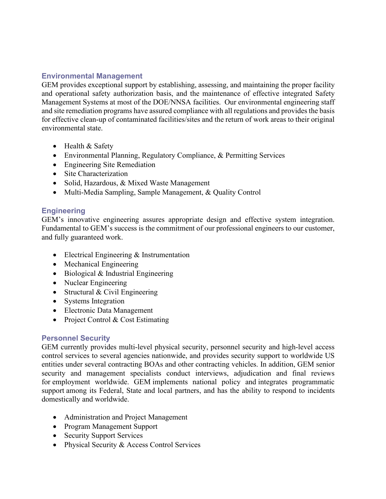#### **Environmental Management**

GEM provides exceptional support by establishing, assessing, and maintaining the proper facility and operational safety authorization basis, and the maintenance of effective integrated Safety Management Systems at most of the DOE/NNSA facilities. Our environmental engineering staff and site remediation programs have assured compliance with all regulations and provides the basis for effective clean-up of contaminated facilities/sites and the return of work areas to their original environmental state.

- Health & Safety
- Environmental Planning, Regulatory Compliance, & Permitting Services
- Engineering Site Remediation
- Site Characterization
- Solid, Hazardous, & Mixed Waste Management
- Multi-Media Sampling, Sample Management, & Quality Control

#### **Engineering**

GEM's innovative engineering assures appropriate design and effective system integration. Fundamental to GEM's success is the commitment of our professional engineers to our customer, and fully guaranteed work.

- Electrical Engineering & Instrumentation
- Mechanical Engineering
- Biological & Industrial Engineering
- Nuclear Engineering
- Structural & Civil Engineering
- Systems Integration
- Electronic Data Management
- Project Control & Cost Estimating

### **Personnel Security**

GEM currently provides multi-level physical security, personnel security and high-level access control services to several agencies nationwide, and provides security support to worldwide US entities under several contracting BOAs and other contracting vehicles. In addition, GEM senior security and management specialists conduct interviews, adjudication and final reviews for employment worldwide. GEM implements national policy and integrates programmatic support among its Federal, State and local partners, and has the ability to respond to incidents domestically and worldwide.

- Administration and Project Management
- Program Management Support
- Security Support Services
- Physical Security & Access Control Services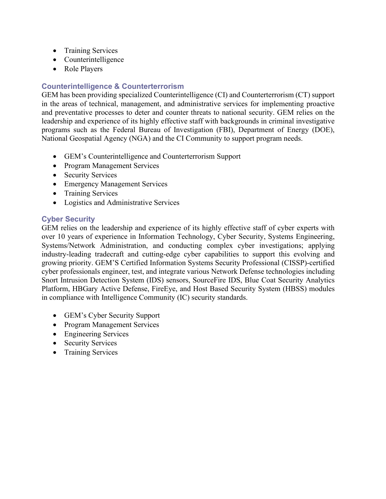- Training Services
- Counterintelligence
- Role Players

### **Counterintelligence & Counterterrorism**

GEM has been providing specialized Counterintelligence (CI) and Counterterrorism (CT) support in the areas of technical, management, and administrative services for implementing proactive and preventative processes to deter and counter threats to national security. GEM relies on the leadership and experience of its highly effective staff with backgrounds in criminal investigative programs such as the Federal Bureau of Investigation (FBI), Department of Energy (DOE), National Geospatial Agency (NGA) and the CI Community to support program needs.

- GEM's Counterintelligence and Counterterrorism Support
- Program Management Services
- Security Services
- Emergency Management Services
- Training Services
- Logistics and Administrative Services

#### **Cyber Security**

GEM relies on the leadership and experience of its highly effective staff of cyber experts with over 10 years of experience in Information Technology, Cyber Security, Systems Engineering, Systems/Network Administration, and conducting complex cyber investigations; applying industry-leading tradecraft and cutting-edge cyber capabilities to support this evolving and growing priority. GEM'S Certified Information Systems Security Professional (CISSP)-certified cyber professionals engineer, test, and integrate various Network Defense technologies including Snort Intrusion Detection System (IDS) sensors, SourceFire IDS, Blue Coat Security Analytics Platform, HBGary Active Defense, FireEye, and Host Based Security System (HBSS) modules in compliance with Intelligence Community (IC) security standards.

- GEM's Cyber Security Support
- Program Management Services
- Engineering Services
- Security Services
- Training Services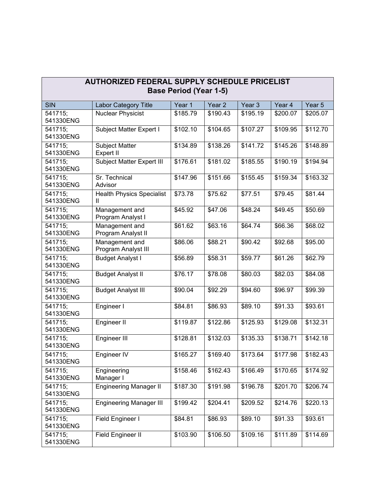|                      | <b>AUTHORIZED FEDERAL SUPPLY SCHEDULE PRICELIST</b> | <b>Base Period (Year 1-5)</b> |                   |          |          |          |
|----------------------|-----------------------------------------------------|-------------------------------|-------------------|----------|----------|----------|
| <b>SIN</b>           | Labor Category Title                                | Year 1                        | Year <sub>2</sub> | Year 3   | Year 4   | Year 5   |
| 541715;<br>541330ENG | <b>Nuclear Physicist</b>                            | \$185.79                      | \$190.43          | \$195.19 | \$200.07 | \$205.07 |
| 541715;<br>541330ENG | Subject Matter Expert I                             | \$102.10                      | \$104.65          | \$107.27 | \$109.95 | \$112.70 |
| 541715;<br>541330ENG | <b>Subject Matter</b><br>Expert II                  | \$134.89                      | \$138.26          | \$141.72 | \$145.26 | \$148.89 |
| 541715;<br>541330ENG | Subject Matter Expert III                           | \$176.61                      | \$181.02          | \$185.55 | \$190.19 | \$194.94 |
| 541715;<br>541330ENG | Sr. Technical<br>Advisor                            | \$147.96                      | \$151.66          | \$155.45 | \$159.34 | \$163.32 |
| 541715;<br>541330ENG | <b>Health Physics Specialist</b><br>$\mathbf{I}$    | \$73.78                       | \$75.62           | \$77.51  | \$79.45  | \$81.44  |
| 541715;<br>541330ENG | Management and<br>Program Analyst I                 | \$45.92                       | \$47.06           | \$48.24  | \$49.45  | \$50.69  |
| 541715;<br>541330ENG | Management and<br>Program Analyst II                | \$61.62                       | \$63.16           | \$64.74  | \$66.36  | \$68.02  |
| 541715:<br>541330ENG | Management and<br>Program Analyst III               | \$86.06                       | \$88.21           | \$90.42  | \$92.68  | \$95.00  |
| 541715;<br>541330ENG | <b>Budget Analyst I</b>                             | \$56.89                       | \$58.31           | \$59.77  | \$61.26  | \$62.79  |
| 541715;<br>541330ENG | <b>Budget Analyst II</b>                            | \$76.17                       | \$78.08           | \$80.03  | \$82.03  | \$84.08  |
| 541715;<br>541330ENG | <b>Budget Analyst III</b>                           | \$90.04                       | \$92.29           | \$94.60  | \$96.97  | \$99.39  |
| 541715;<br>541330ENG | Engineer I                                          | \$84.81                       | \$86.93           | \$89.10  | \$91.33  | \$93.61  |
| 541715;<br>541330ENG | Engineer II                                         | \$119.87                      | \$122.86          | \$125.93 | \$129.08 | \$132.31 |
| 541715;<br>541330ENG | Engineer III                                        | \$128.81                      | \$132.03          | \$135.33 | \$138.71 | \$142.18 |
| 541715;<br>541330ENG | Engineer IV                                         | \$165.27                      | \$169.40          | \$173.64 | \$177.98 | \$182.43 |
| 541715;<br>541330ENG | Engineering<br>Manager I                            | \$158.46                      | \$162.43          | \$166.49 | \$170.65 | \$174.92 |
| 541715;<br>541330ENG | <b>Engineering Manager II</b>                       | \$187.30                      | \$191.98          | \$196.78 | \$201.70 | \$206.74 |
| 541715;<br>541330ENG | <b>Engineering Manager III</b>                      | \$199.42                      | \$204.41          | \$209.52 | \$214.76 | \$220.13 |
| 541715;<br>541330ENG | Field Engineer I                                    | \$84.81                       | \$86.93           | \$89.10  | \$91.33  | \$93.61  |
| 541715;<br>541330ENG | Field Engineer II                                   | \$103.90                      | \$106.50          | \$109.16 | \$111.89 | \$114.69 |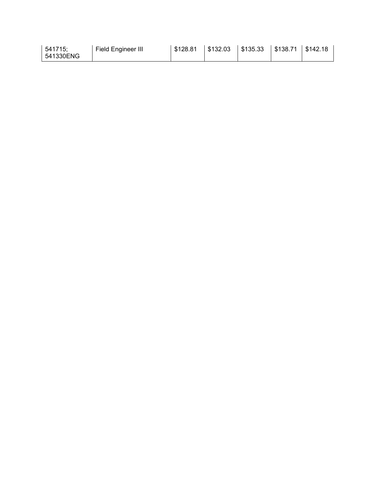| 541715:   | Field Engineer III | \$128.81   \$132.03   \$135.33   \$138.71   \$142.18 |  |  |
|-----------|--------------------|------------------------------------------------------|--|--|
| 541330ENG |                    |                                                      |  |  |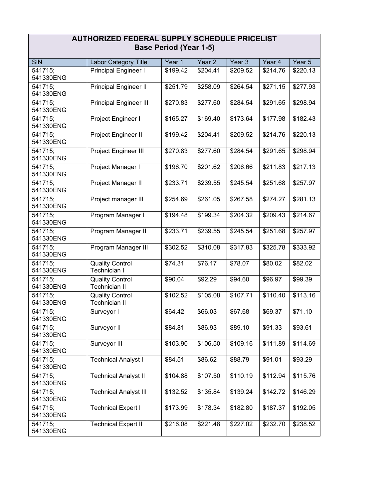|                      | <b>AUTHORIZED FEDERAL SUPPLY SCHEDULE PRICELIST</b> | <b>Base Period (Year 1-5)</b> |                     |          |          |          |
|----------------------|-----------------------------------------------------|-------------------------------|---------------------|----------|----------|----------|
| <b>SIN</b>           | Labor Category Title                                | Year 1                        | Year 2              | Year 3   | Year 4   | Year 5   |
| 541715;<br>541330ENG | <b>Principal Engineer I</b>                         | \$199.42                      | \$204.41            | \$209.52 | \$214.76 | \$220.13 |
| 541715;<br>541330ENG | Principal Engineer II                               | \$251.79                      | \$258.09            | \$264.54 | \$271.15 | \$277.93 |
| 541715;<br>541330ENG | Principal Engineer III                              | \$270.83                      | \$277.60            | \$284.54 | \$291.65 | \$298.94 |
| 541715;<br>541330ENG | Project Engineer I                                  | \$165.27                      | \$169.40            | \$173.64 | \$177.98 | \$182.43 |
| 541715;<br>541330ENG | Project Engineer II                                 | \$199.42                      | \$204.41            | \$209.52 | \$214.76 | \$220.13 |
| 541715;<br>541330ENG | Project Engineer III                                | \$270.83                      | \$277.60            | \$284.54 | \$291.65 | \$298.94 |
| 541715;<br>541330ENG | Project Manager I                                   | \$196.70                      | \$201.62            | \$206.66 | \$211.83 | \$217.13 |
| 541715:<br>541330ENG | Project Manager II                                  | \$233.71                      | \$239.55            | \$245.54 | \$251.68 | \$257.97 |
| 541715;<br>541330ENG | Project manager III                                 | \$254.69                      | \$261.05            | \$267.58 | \$274.27 | \$281.13 |
| 541715;<br>541330ENG | Program Manager I                                   | \$194.48                      | \$199.34            | \$204.32 | \$209.43 | \$214.67 |
| 541715;<br>541330ENG | Program Manager II                                  | \$233.71                      | \$239.55            | \$245.54 | \$251.68 | \$257.97 |
| 541715;<br>541330ENG | Program Manager III                                 | \$302.52                      | \$310.08            | \$317.83 | \$325.78 | \$333.92 |
| 541715;<br>541330ENG | <b>Quality Control</b><br>Technician I              | \$74.31                       | \$76.17             | \$78.07  | \$80.02  | \$82.02  |
| 541715;<br>541330ENG | <b>Quality Control</b><br><b>Technician II</b>      | \$90.04                       | \$92.29             | \$94.60  | \$96.97  | \$99.39  |
| 541715;<br>541330ENG | <b>Quality Control</b><br><b>Technician II</b>      | \$102.52                      | \$105.08            | \$107.71 | \$110.40 | \$113.16 |
| 541715;<br>541330ENG | Surveyor I                                          | \$64.42                       | $\overline{$66.03}$ | \$67.68  | \$69.37  | \$71.10  |
| 541715;<br>541330ENG | Surveyor II                                         | \$84.81                       | \$86.93             | \$89.10  | \$91.33  | \$93.61  |
| 541715;<br>541330ENG | Surveyor III                                        | \$103.90                      | \$106.50            | \$109.16 | \$111.89 | \$114.69 |
| 541715:<br>541330ENG | <b>Technical Analyst I</b>                          | \$84.51                       | \$86.62             | \$88.79  | \$91.01  | \$93.29  |
| 541715:<br>541330ENG | <b>Technical Analyst II</b>                         | \$104.88                      | \$107.50            | \$110.19 | \$112.94 | \$115.76 |
| 541715;<br>541330ENG | <b>Technical Analyst III</b>                        | \$132.52                      | \$135.84            | \$139.24 | \$142.72 | \$146.29 |
| 541715;<br>541330ENG | <b>Technical Expert I</b>                           | \$173.99                      | \$178.34            | \$182.80 | \$187.37 | \$192.05 |
| 541715;<br>541330ENG | <b>Technical Expert II</b>                          | \$216.08                      | \$221.48            | \$227.02 | \$232.70 | \$238.52 |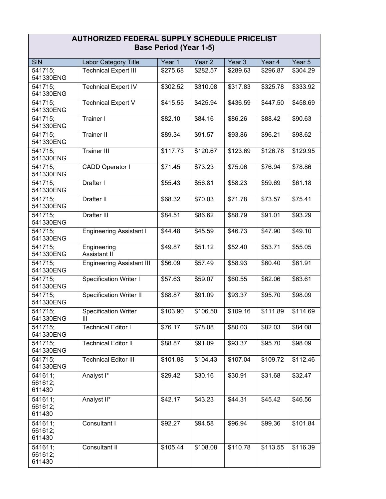| <b>AUTHORIZED FEDERAL SUPPLY SCHEDULE PRICELIST</b><br><b>Base Period (Year 1-5)</b> |                                  |          |                      |          |          |          |
|--------------------------------------------------------------------------------------|----------------------------------|----------|----------------------|----------|----------|----------|
|                                                                                      |                                  |          |                      |          |          |          |
| <b>SIN</b>                                                                           | <b>Labor Category Title</b>      | Year 1   | Year <sub>2</sub>    | Year 3   | Year 4   | Year 5   |
| 541715:<br>541330ENG                                                                 | <b>Technical Expert III</b>      | \$275.68 | $\overline{$}282.57$ | \$289.63 | \$296.87 | \$304.29 |
| 541715;<br>541330ENG                                                                 | <b>Technical Expert IV</b>       | \$302.52 | \$310.08             | \$317.83 | \$325.78 | \$333.92 |
| 541715;<br>541330ENG                                                                 | <b>Technical Expert V</b>        | \$415.55 | \$425.94             | \$436.59 | \$447.50 | \$458.69 |
| 541715;<br>541330ENG                                                                 | Trainer I                        | \$82.10  | \$84.16              | \$86.26  | \$88.42  | \$90.63  |
| 541715;<br>541330ENG                                                                 | <b>Trainer II</b>                | \$89.34  | \$91.57              | \$93.86  | \$96.21  | \$98.62  |
| 541715;<br>541330ENG                                                                 | <b>Trainer III</b>               | \$117.73 | \$120.67             | \$123.69 | \$126.78 | \$129.95 |
| 541715;<br>541330ENG                                                                 | <b>CADD Operator I</b>           | \$71.45  | \$73.23              | \$75.06  | \$76.94  | \$78.86  |
| 541715;<br>541330ENG                                                                 | Drafter I                        | \$55.43  | \$56.81              | \$58.23  | \$59.69  | \$61.18  |
| 541715;<br>541330ENG                                                                 | Drafter II                       | \$68.32  | \$70.03              | \$71.78  | \$73.57  | \$75.41  |
| 541715;<br>541330ENG                                                                 | Drafter III                      | \$84.51  | \$86.62              | \$88.79  | \$91.01  | \$93.29  |
| 541715;<br>541330ENG                                                                 | <b>Engineering Assistant I</b>   | \$44.48  | \$45.59              | \$46.73  | \$47.90  | \$49.10  |
| 541715;<br>541330ENG                                                                 | Engineering<br>Assistant II      | \$49.87  | \$51.12              | \$52.40  | \$53.71  | \$55.05  |
| 541715;<br>541330ENG                                                                 | <b>Engineering Assistant III</b> | \$56.09  | \$57.49              | \$58.93  | \$60.40  | \$61.91  |
| 541715;<br>541330ENG                                                                 | <b>Specification Writer I</b>    | \$57.63  | \$59.07              | \$60.55  | \$62.06  | \$63.61  |
| 541715;<br>541330ENG                                                                 | <b>Specification Writer II</b>   | \$88.87  | \$91.09              | \$93.37  | \$95.70  | \$98.09  |
| 541715;<br>541330ENG                                                                 | <b>Specification Writer</b><br>Ш | \$103.90 | \$106.50             | \$109.16 | \$111.89 | \$114.69 |
| 541715;<br>541330ENG                                                                 | <b>Technical Editor I</b>        | \$76.17  | \$78.08              | \$80.03  | \$82.03  | \$84.08  |
| 541715;<br>541330ENG                                                                 | <b>Technical Editor II</b>       | \$88.87  | \$91.09              | \$93.37  | \$95.70  | \$98.09  |
| 541715;<br>541330ENG                                                                 | <b>Technical Editor III</b>      | \$101.88 | \$104.43             | \$107.04 | \$109.72 | \$112.46 |
| 541611:<br>561612;<br>611430                                                         | Analyst <sup>1*</sup>            | \$29.42  | \$30.16              | \$30.91  | \$31.68  | \$32.47  |
| 541611;<br>561612;<br>611430                                                         | Analyst II*                      | \$42.17  | \$43.23              | \$44.31  | \$45.42  | \$46.56  |
| 541611;<br>561612;<br>611430                                                         | Consultant I                     | \$92.27  | \$94.58              | \$96.94  | \$99.36  | \$101.84 |
| 541611;<br>561612;<br>611430                                                         | Consultant II                    | \$105.44 | \$108.08             | \$110.78 | \$113.55 | \$116.39 |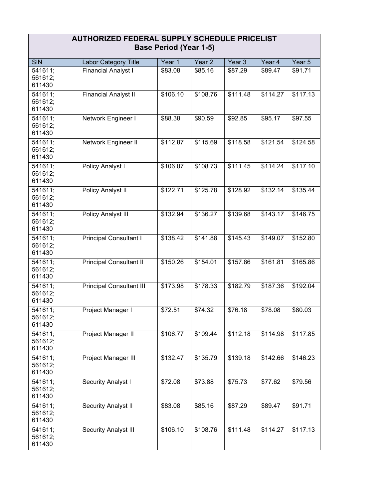|                              | <b>AUTHORIZED FEDERAL SUPPLY SCHEDULE PRICELIST</b> | <b>Base Period (Year 1-5)</b> |                   |          |          |          |
|------------------------------|-----------------------------------------------------|-------------------------------|-------------------|----------|----------|----------|
| <b>SIN</b>                   | <b>Labor Category Title</b>                         | Year 1                        | Year <sub>2</sub> | Year 3   | Year 4   | Year 5   |
| 541611;<br>561612:<br>611430 | <b>Financial Analyst I</b>                          | \$83.08                       | \$85.16           | \$87.29  | \$89.47  | \$91.71  |
| 541611;<br>561612;<br>611430 | <b>Financial Analyst II</b>                         | \$106.10                      | \$108.76          | \$111.48 | \$114.27 | \$117.13 |
| 541611:<br>561612;<br>611430 | Network Engineer I                                  | \$88.38                       | \$90.59           | \$92.85  | \$95.17  | \$97.55  |
| 541611;<br>561612;<br>611430 | Network Engineer II                                 | \$112.87                      | \$115.69          | \$118.58 | \$121.54 | \$124.58 |
| 541611;<br>561612;<br>611430 | <b>Policy Analyst I</b>                             | \$106.07                      | \$108.73          | \$111.45 | \$114.24 | \$117.10 |
| 541611;<br>561612;<br>611430 | Policy Analyst II                                   | \$122.71                      | \$125.78          | \$128.92 | \$132.14 | \$135.44 |
| 541611;<br>561612;<br>611430 | Policy Analyst III                                  | \$132.94                      | \$136.27          | \$139.68 | \$143.17 | \$146.75 |
| 541611;<br>561612;<br>611430 | <b>Principal Consultant I</b>                       | \$138.42                      | \$141.88          | \$145.43 | \$149.07 | \$152.80 |
| 541611;<br>561612;<br>611430 | <b>Principal Consultant II</b>                      | \$150.26                      | \$154.01          | \$157.86 | \$161.81 | \$165.86 |
| 541611;<br>561612;<br>611430 | <b>Principal Consultant III</b>                     | \$173.98                      | \$178.33          | \$182.79 | \$187.36 | \$192.04 |
| 541611;<br>561612;<br>611430 | Project Manager I                                   | \$72.51                       | \$74.32           | \$76.18  | \$78.08  | \$80.03  |
| 541611;<br>561612;<br>611430 | Project Manager II                                  | \$106.77                      | \$109.44          | \$112.18 | \$114.98 | \$117.85 |
| 541611;<br>561612;<br>611430 | Project Manager III                                 | \$132.47                      | \$135.79          | \$139.18 | \$142.66 | \$146.23 |
| 541611;<br>561612;<br>611430 | <b>Security Analyst I</b>                           | \$72.08                       | \$73.88           | \$75.73  | \$77.62  | \$79.56  |
| 541611;<br>561612;<br>611430 | Security Analyst II                                 | \$83.08                       | \$85.16           | \$87.29  | \$89.47  | \$91.71  |
| 541611;<br>561612;<br>611430 | Security Analyst III                                | \$106.10                      | \$108.76          | \$111.48 | \$114.27 | \$117.13 |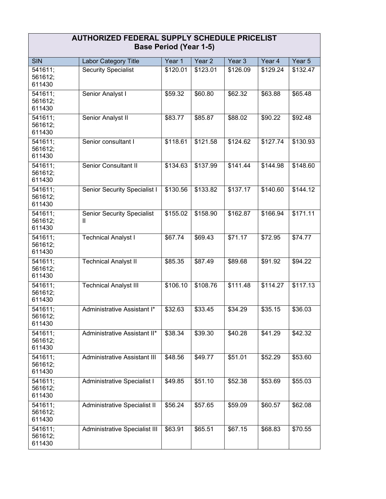|                              | <b>AUTHORIZED FEDERAL SUPPLY SCHEDULE PRICELIST</b> | <b>Base Period (Year 1-5)</b> |                   |                   |          |          |
|------------------------------|-----------------------------------------------------|-------------------------------|-------------------|-------------------|----------|----------|
| <b>SIN</b>                   | <b>Labor Category Title</b>                         | Year 1                        | Year <sub>2</sub> | Year <sub>3</sub> | Year 4   | Year 5   |
| 541611;<br>561612;<br>611430 | <b>Security Specialist</b>                          | \$120.01                      | \$123.01          | \$126.09          | \$129.24 | \$132.47 |
| 541611;<br>561612;<br>611430 | Senior Analyst I                                    | \$59.32                       | \$60.80           | \$62.32           | \$63.88  | \$65.48  |
| 541611:<br>561612;<br>611430 | Senior Analyst II                                   | \$83.77                       | \$85.87           | \$88.02           | \$90.22  | \$92.48  |
| 541611;<br>561612;<br>611430 | Senior consultant I                                 | \$118.61                      | \$121.58          | \$124.62          | \$127.74 | \$130.93 |
| 541611;<br>561612;<br>611430 | <b>Senior Consultant II</b>                         | \$134.63                      | \$137.99          | \$141.44          | \$144.98 | \$148.60 |
| 541611;<br>561612;<br>611430 | <b>Senior Security Specialist I</b>                 | \$130.56                      | \$133.82          | \$137.17          | \$140.60 | \$144.12 |
| 541611;<br>561612;<br>611430 | <b>Senior Security Specialist</b><br>Ш              | \$155.02                      | \$158.90          | \$162.87          | \$166.94 | \$171.11 |
| 541611;<br>561612;<br>611430 | <b>Technical Analyst I</b>                          | \$67.74                       | \$69.43           | \$71.17           | \$72.95  | \$74.77  |
| 541611;<br>561612;<br>611430 | <b>Technical Analyst II</b>                         | \$85.35                       | \$87.49           | \$89.68           | \$91.92  | \$94.22  |
| 541611;<br>561612;<br>611430 | <b>Technical Analyst III</b>                        | \$106.10                      | \$108.76          | \$111.48          | \$114.27 | \$117.13 |
| 541611;<br>561612;<br>611430 | Administrative Assistant I*                         | \$32.63                       | \$33.45           | \$34.29           | \$35.15  | \$36.03  |
| 541611;<br>561612;<br>611430 | Administrative Assistant II*                        | \$38.34                       | \$39.30           | \$40.28           | \$41.29  | \$42.32  |
| 541611;<br>561612;<br>611430 | <b>Administrative Assistant III</b>                 | \$48.56                       | \$49.77           | \$51.01           | \$52.29  | \$53.60  |
| 541611;<br>561612;<br>611430 | Administrative Specialist I                         | \$49.85                       | \$51.10           | \$52.38           | \$53.69  | \$55.03  |
| 541611;<br>561612;<br>611430 | Administrative Specialist II                        | \$56.24                       | \$57.65           | \$59.09           | \$60.57  | \$62.08  |
| 541611;<br>561612;<br>611430 | Administrative Specialist III                       | \$63.91                       | \$65.51           | \$67.15           | \$68.83  | \$70.55  |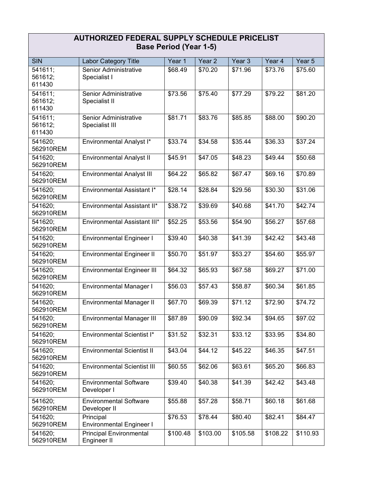|                              | <b>AUTHORIZED FEDERAL SUPPLY SCHEDULE PRICELIST</b> | <b>Base Period (Year 1-5)</b> |                   |                     |          |          |
|------------------------------|-----------------------------------------------------|-------------------------------|-------------------|---------------------|----------|----------|
| <b>SIN</b>                   | <b>Labor Category Title</b>                         | Year 1                        | Year <sub>2</sub> | Year 3              | Year 4   | Year 5   |
| 541611;<br>561612;<br>611430 | Senior Administrative<br>Specialist I               | \$68.49                       | \$70.20           | \$71.96             | \$73.76  | \$75.60  |
| 541611;<br>561612;<br>611430 | Senior Administrative<br>Specialist II              | \$73.56                       | \$75.40           | \$77.29             | \$79.22  | \$81.20  |
| 541611;<br>561612;<br>611430 | Senior Administrative<br>Specialist III             | \$81.71                       | \$83.76           | \$85.85             | \$88.00  | \$90.20  |
| 541620;<br>562910REM         | Environmental Analyst I*                            | \$33.74                       | \$34.58           | \$35.44             | \$36.33  | \$37.24  |
| 541620:<br>562910REM         | Environmental Analyst II                            | \$45.91                       | \$47.05           | \$48.23             | \$49.44  | \$50.68  |
| 541620;<br>562910REM         | <b>Environmental Analyst III</b>                    | \$64.22                       | \$65.82           | \$67.47             | \$69.16  | \$70.89  |
| 541620;<br>562910REM         | Environmental Assistant I*                          | \$28.14                       | \$28.84           | \$29.56             | \$30.30  | \$31.06  |
| 541620;<br>562910REM         | Environmental Assistant II*                         | \$38.72                       | \$39.69           | \$40.68             | \$41.70  | \$42.74  |
| 541620;<br>562910REM         | Environmental Assistant III*                        | \$52.25                       | \$53.56           | \$54.90             | \$56.27  | \$57.68  |
| 541620;<br>562910REM         | <b>Environmental Engineer I</b>                     | \$39.40                       | \$40.38           | \$41.39             | \$42.42  | \$43.48  |
| 541620;<br>562910REM         | <b>Environmental Engineer II</b>                    | \$50.70                       | \$51.97           | \$53.27             | \$54.60  | \$55.97  |
| 541620;<br>562910REM         | <b>Environmental Engineer III</b>                   | \$64.32                       | \$65.93           | \$67.58             | \$69.27  | \$71.00  |
| 541620;<br>562910REM         | <b>Environmental Manager I</b>                      | \$56.03                       | \$57.43           | \$58.87             | \$60.34  | \$61.85  |
| 541620;<br>562910REM         | <b>Environmental Manager II</b>                     | \$67.70                       | \$69.39           | \$71.12             | \$72.90  | \$74.72  |
| 541620;<br>562910REM         | <b>Environmental Manager III</b>                    | \$87.89                       | \$90.09           | $\overline{$92.34}$ | \$94.65  | \$97.02  |
| 541620;<br>562910REM         | Environmental Scientist I*                          | \$31.52                       | \$32.31           | \$33.12             | \$33.95  | \$34.80  |
| 541620;<br>562910REM         | <b>Environmental Scientist II</b>                   | \$43.04                       | \$44.12           | \$45.22             | \$46.35  | \$47.51  |
| 541620;<br>562910REM         | <b>Environmental Scientist III</b>                  | \$60.55                       | \$62.06           | \$63.61             | \$65.20  | \$66.83  |
| 541620;<br>562910REM         | <b>Environmental Software</b><br>Developer I        | \$39.40                       | \$40.38           | \$41.39             | \$42.42  | \$43.48  |
| 541620;<br>562910REM         | <b>Environmental Software</b><br>Developer II       | \$55.88                       | \$57.28           | \$58.71             | \$60.18  | \$61.68  |
| 541620;<br>562910REM         | Principal<br><b>Environmental Engineer I</b>        | \$76.53                       | \$78.44           | \$80.40             | \$82.41  | \$84.47  |
| 541620;<br>562910REM         | <b>Principal Environmental</b><br>Engineer II       | \$100.48                      | \$103.00          | \$105.58            | \$108.22 | \$110.93 |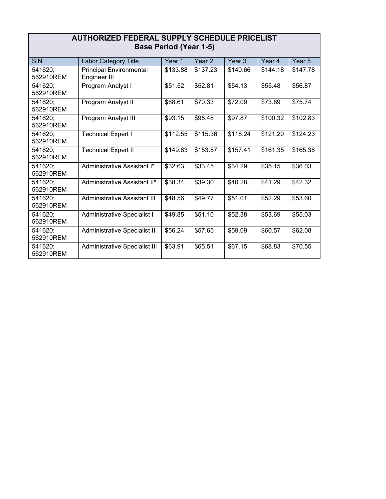|                      | <b>AUTHORIZED FEDERAL SUPPLY SCHEDULE PRICELIST</b> | <b>Base Period (Year 1-5)</b> |          |                   |          |          |
|----------------------|-----------------------------------------------------|-------------------------------|----------|-------------------|----------|----------|
| <b>SIN</b>           | <b>Labor Category Title</b>                         | Year 1                        | Year 2   | Year <sub>3</sub> | Year 4   | Year 5   |
| 541620;<br>562910REM | <b>Principal Environmental</b><br>Engineer III      | \$133.88                      | \$137.23 | \$140.66          | \$144.18 | \$147.78 |
| 541620:<br>562910REM | Program Analyst I                                   | \$51.52                       | \$52.81  | \$54.13           | \$55.48  | \$56.87  |
| 541620;<br>562910REM | Program Analyst II                                  | \$68.61                       | \$70.33  | \$72.09           | \$73.89  | \$75.74  |
| 541620;<br>562910REM | Program Analyst III                                 | \$93.15                       | \$95.48  | \$97.87           | \$100.32 | \$102.83 |
| 541620:<br>562910REM | <b>Technical Expert I</b>                           | \$112.55                      | \$115.36 | \$118.24          | \$121.20 | \$124.23 |
| 541620:<br>562910REM | <b>Technical Expert II</b>                          | \$149.83                      | \$153.57 | \$157.41          | \$161.35 | \$165.38 |
| 541620;<br>562910REM | Administrative Assistant I*                         | \$32.63                       | \$33.45  | \$34.29           | \$35.15  | \$36.03  |
| 541620:<br>562910REM | Administrative Assistant II*                        | \$38.34                       | \$39.30  | \$40.28           | \$41.29  | \$42.32  |
| 541620:<br>562910REM | Administrative Assistant III                        | \$48.56                       | \$49.77  | \$51.01           | \$52.29  | \$53.60  |
| 541620;<br>562910REM | Administrative Specialist I                         | \$49.85                       | \$51.10  | \$52.38           | \$53.69  | \$55.03  |
| 541620:<br>562910REM | Administrative Specialist II                        | \$56.24                       | \$57.65  | \$59.09           | \$60.57  | \$62.08  |
| 541620:<br>562910REM | <b>Administrative Specialist III</b>                | \$63.91                       | \$65.51  | \$67.15           | \$68.83  | \$70.55  |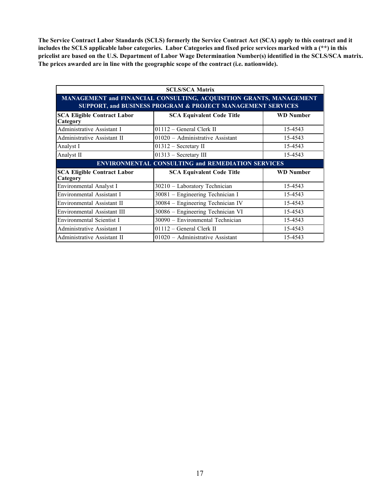**The Service Contract Labor Standards (SCLS) formerly the Service Contract Act (SCA) apply to this contract and it** includes the SCLS applicable labor categories. Labor Categories and fixed price services marked with a (\*\*) in this **pricelist are based on the U.S. Department of Labor Wage Determination Number(s) identified in the SCLS/SCA matrix. The prices awarded are in line with the geographic scope of the contract (i.e. nationwide).**

| <b>SCLS/SCA Matrix</b>                         |                                                                                                                                               |                  |  |  |  |  |
|------------------------------------------------|-----------------------------------------------------------------------------------------------------------------------------------------------|------------------|--|--|--|--|
|                                                | MANAGEMENT and FINANCIAL CONSULTING, ACQUISITION GRANTS, MANAGEMENT<br><b>SUPPORT, and BUSINESS PROGRAM &amp; PROJECT MANAGEMENT SERVICES</b> |                  |  |  |  |  |
| <b>SCA Eligible Contract Labor</b><br>Category | <b>SCA Equivalent Code Title</b>                                                                                                              | <b>WD</b> Number |  |  |  |  |
| Administrative Assistant I                     | $01112$ – General Clerk II                                                                                                                    | 15-4543          |  |  |  |  |
| Administrative Assistant II                    | 01020 - Administrative Assistant                                                                                                              | 15-4543          |  |  |  |  |
| Analyst I                                      | $01312$ – Secretary II                                                                                                                        | 15-4543          |  |  |  |  |
| Analyst II                                     | $01313 -$ Secretary III                                                                                                                       | 15-4543          |  |  |  |  |
|                                                | <b>ENVIRONMENTAL CONSULTING and REMEDIATION SERVICES</b>                                                                                      |                  |  |  |  |  |
| <b>SCA Eligible Contract Labor</b><br>Category | <b>SCA Equivalent Code Title</b>                                                                                                              | <b>WD Number</b> |  |  |  |  |
| Environmental Analyst I                        | 30210 - Laboratory Technician                                                                                                                 | 15-4543          |  |  |  |  |
| Environmental Assistant I                      | 30081 - Engineering Technician I                                                                                                              | 15-4543          |  |  |  |  |
| Environmental Assistant II                     | 30084 - Engineering Technician IV                                                                                                             | 15-4543          |  |  |  |  |
| Environmental Assistant III                    | 30086 - Engineering Technician VI                                                                                                             | 15-4543          |  |  |  |  |
| Environmental Scientist I                      | 30090 - Environmental Technician                                                                                                              | 15-4543          |  |  |  |  |
| Administrative Assistant I                     | $01112$ – General Clerk II                                                                                                                    | 15-4543          |  |  |  |  |
| Administrative Assistant II                    | $01020 -$ Administrative Assistant                                                                                                            | 15-4543          |  |  |  |  |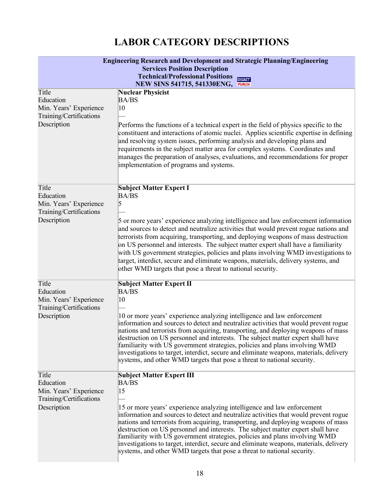## **LABOR CATEGORY DESCRIPTIONS**

|                                                                                        | <b>Engineering Research and Development and Strategic Planning/Engineering</b><br><b>Services Position Description</b>                                                                                                                                                                                                                                                                                                                                                                                                                                                                                                                                          |
|----------------------------------------------------------------------------------------|-----------------------------------------------------------------------------------------------------------------------------------------------------------------------------------------------------------------------------------------------------------------------------------------------------------------------------------------------------------------------------------------------------------------------------------------------------------------------------------------------------------------------------------------------------------------------------------------------------------------------------------------------------------------|
|                                                                                        | <b>Technical/Professional Positions</b><br><b>DISAST</b><br>NEW SINS 541715, 541330ENG,                                                                                                                                                                                                                                                                                                                                                                                                                                                                                                                                                                         |
| Title<br>Education<br>Min. Years' Experience<br>Training/Certifications<br>Description | <b>Nuclear Physicist</b><br><b>BA/BS</b><br>10<br>Performs the functions of a technical expert in the field of physics specific to the<br>constituent and interactions of atomic nuclei. Applies scientific expertise in defining<br>and resolving system issues, performing analysis and developing plans and<br>requirements in the subject matter area for complex systems. Coordinates and<br>manages the preparation of analyses, evaluations, and recommendations for proper<br>implementation of programs and systems.                                                                                                                                   |
| Title<br>Education<br>Min. Years' Experience<br>Training/Certifications<br>Description | <b>Subject Matter Expert I</b><br><b>BA/BS</b><br>5<br>5 or more years' experience analyzing intelligence and law enforcement information<br>and sources to detect and neutralize activities that would prevent rogue nations and<br>terrorists from acquiring, transporting, and deploying weapons of mass destruction<br>on US personnel and interests. The subject matter expert shall have a familiarity<br>with US government strategies, policies and plans involving WMD investigations to<br>target, interdict, secure and eliminate weapons, materials, delivery systems, and<br>other WMD targets that pose a threat to national security.            |
| Title<br>Education<br>Min. Years' Experience<br>Training/Certifications<br>Description | <b>Subject Matter Expert II</b><br><b>BA/BS</b><br>$ 10\rangle$<br>10 or more years' experience analyzing intelligence and law enforcement<br>information and sources to detect and neutralize activities that would prevent rogue<br>nations and terrorists from acquiring, transporting, and deploying weapons of mass<br>destruction on US personnel and interests. The subject matter expert shall have<br>familiarity with US government strategies, policies and plans involving WMD<br>investigations to target, interdict, secure and eliminate weapons, materials, delivery<br>systems, and other WMD targets that pose a threat to national security. |
| Title<br>Education<br>Min. Years' Experience<br>Training/Certifications<br>Description | Subject Matter Expert III<br>BA/BS<br>15<br>15 or more years' experience analyzing intelligence and law enforcement<br>information and sources to detect and neutralize activities that would prevent rogue<br>nations and terrorists from acquiring, transporting, and deploying weapons of mass<br>destruction on US personnel and interests. The subject matter expert shall have<br>familiarity with US government strategies, policies and plans involving WMD<br>investigations to target, interdict, secure and eliminate weapons, materials, delivery<br>systems, and other WMD targets that pose a threat to national security.                        |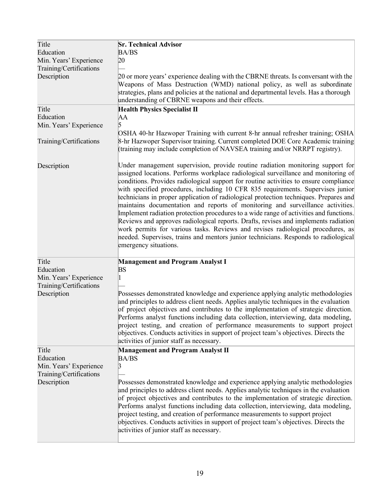| Title                                             | <b>Sr. Technical Advisor</b>                                                                                                                                                                                                                                                                                                                                                                                                                                                                                                                                                                                                                                                                                                                                                                                                                                                                                    |
|---------------------------------------------------|-----------------------------------------------------------------------------------------------------------------------------------------------------------------------------------------------------------------------------------------------------------------------------------------------------------------------------------------------------------------------------------------------------------------------------------------------------------------------------------------------------------------------------------------------------------------------------------------------------------------------------------------------------------------------------------------------------------------------------------------------------------------------------------------------------------------------------------------------------------------------------------------------------------------|
| Education                                         | <b>BA/BS</b>                                                                                                                                                                                                                                                                                                                                                                                                                                                                                                                                                                                                                                                                                                                                                                                                                                                                                                    |
| Min. Years' Experience                            | 20                                                                                                                                                                                                                                                                                                                                                                                                                                                                                                                                                                                                                                                                                                                                                                                                                                                                                                              |
| Training/Certifications<br>Description            | 20 or more years' experience dealing with the CBRNE threats. Is conversant with the<br>Weapons of Mass Destruction (WMD) national policy, as well as subordinate<br>strategies, plans and policies at the national and departmental levels. Has a thorough<br>understanding of CBRNE weapons and their effects.                                                                                                                                                                                                                                                                                                                                                                                                                                                                                                                                                                                                 |
| Title                                             | <b>Health Physics Specialist II</b>                                                                                                                                                                                                                                                                                                                                                                                                                                                                                                                                                                                                                                                                                                                                                                                                                                                                             |
| Education                                         | ΙAΑ                                                                                                                                                                                                                                                                                                                                                                                                                                                                                                                                                                                                                                                                                                                                                                                                                                                                                                             |
| Min. Years' Experience                            | 5                                                                                                                                                                                                                                                                                                                                                                                                                                                                                                                                                                                                                                                                                                                                                                                                                                                                                                               |
| Training/Certifications                           | OSHA 40-hr Hazwoper Training with current 8-hr annual refresher training; OSHA<br>8-hr Hazwoper Supervisor training. Current completed DOE Core Academic training<br>(training may include completion of NAVSEA training and/or NRRPT registry).                                                                                                                                                                                                                                                                                                                                                                                                                                                                                                                                                                                                                                                                |
| Description                                       | Under management supervision, provide routine radiation monitoring support for<br>assigned locations. Performs workplace radiological surveillance and monitoring of<br>conditions. Provides radiological support for routine activities to ensure compliance<br>with specified procedures, including 10 CFR 835 requirements. Supervises junior<br>technicians in proper application of radiological protection techniques. Prepares and<br>maintains documentation and reports of monitoring and surveillance activities.<br>Implement radiation protection procedures to a wide range of activities and functions.<br>Reviews and approves radiological reports. Drafts, revises and implements radiation<br>work permits for various tasks. Reviews and revises radiological procedures, as<br>needed. Supervises, trains and mentors junior technicians. Responds to radiological<br>emergency situations. |
| Title                                             | <b>Management and Program Analyst I</b>                                                                                                                                                                                                                                                                                                                                                                                                                                                                                                                                                                                                                                                                                                                                                                                                                                                                         |
| Education                                         | BS                                                                                                                                                                                                                                                                                                                                                                                                                                                                                                                                                                                                                                                                                                                                                                                                                                                                                                              |
| Min. Years' Experience                            |                                                                                                                                                                                                                                                                                                                                                                                                                                                                                                                                                                                                                                                                                                                                                                                                                                                                                                                 |
| Training/Certifications<br>Description            | Possesses demonstrated knowledge and experience applying analytic methodologies<br>and principles to address client needs. Applies analytic techniques in the evaluation<br>of project objectives and contributes to the implementation of strategic direction.<br>Performs analyst functions including data collection, interviewing, data modeling,<br>project testing, and creation of performance measurements to support project<br>objectives. Conducts activities in support of project team's objectives. Directs the<br>activities of junior staff as necessary.                                                                                                                                                                                                                                                                                                                                       |
| Title                                             | <b>Management and Program Analyst II</b>                                                                                                                                                                                                                                                                                                                                                                                                                                                                                                                                                                                                                                                                                                                                                                                                                                                                        |
| Education                                         | <b>BA/BS</b>                                                                                                                                                                                                                                                                                                                                                                                                                                                                                                                                                                                                                                                                                                                                                                                                                                                                                                    |
| Min. Years' Experience<br>Training/Certifications | 3                                                                                                                                                                                                                                                                                                                                                                                                                                                                                                                                                                                                                                                                                                                                                                                                                                                                                                               |
| Description                                       | Possesses demonstrated knowledge and experience applying analytic methodologies<br>and principles to address client needs. Applies analytic techniques in the evaluation<br>of project objectives and contributes to the implementation of strategic direction.<br>Performs analyst functions including data collection, interviewing, data modeling,<br>project testing, and creation of performance measurements to support project<br>objectives. Conducts activities in support of project team's objectives. Directs the<br>activities of junior staff as necessary.                                                                                                                                                                                                                                                                                                                                       |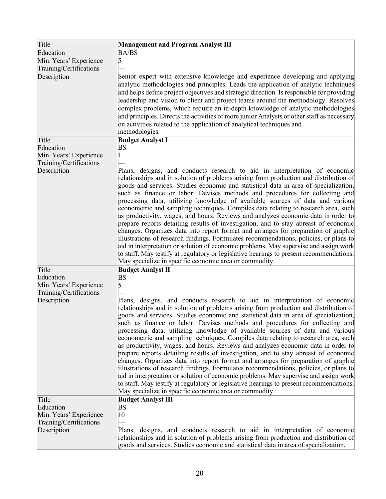| Title                                  | <b>Management and Program Analyst III</b>                                                                                                                                                                                                                                                                                                                                                                                                                                                                                                                                                                                                                                                                                                                                                                                                                                                                                                                                                                                                                                                                                  |
|----------------------------------------|----------------------------------------------------------------------------------------------------------------------------------------------------------------------------------------------------------------------------------------------------------------------------------------------------------------------------------------------------------------------------------------------------------------------------------------------------------------------------------------------------------------------------------------------------------------------------------------------------------------------------------------------------------------------------------------------------------------------------------------------------------------------------------------------------------------------------------------------------------------------------------------------------------------------------------------------------------------------------------------------------------------------------------------------------------------------------------------------------------------------------|
| Education                              | <b>BA/BS</b>                                                                                                                                                                                                                                                                                                                                                                                                                                                                                                                                                                                                                                                                                                                                                                                                                                                                                                                                                                                                                                                                                                               |
| Min. Years' Experience                 | 5                                                                                                                                                                                                                                                                                                                                                                                                                                                                                                                                                                                                                                                                                                                                                                                                                                                                                                                                                                                                                                                                                                                          |
| Training/Certifications                |                                                                                                                                                                                                                                                                                                                                                                                                                                                                                                                                                                                                                                                                                                                                                                                                                                                                                                                                                                                                                                                                                                                            |
| Description                            | Senior expert with extensive knowledge and experience developing and applying<br>analytic methodologies and principles. Leads the application of analytic techniques<br>and helps define project objectives and strategic direction. Is responsible for providing<br>leadership and vision to client and project teams around the methodology. Resolves<br>complex problems, which require an in-depth knowledge of analytic methodologies<br>and principles. Directs the activities of more junior Analysts or other staff as necessary<br>on activities related to the application of analytical techniques and<br>methodologies.                                                                                                                                                                                                                                                                                                                                                                                                                                                                                        |
| Title                                  | <b>Budget Analyst I</b>                                                                                                                                                                                                                                                                                                                                                                                                                                                                                                                                                                                                                                                                                                                                                                                                                                                                                                                                                                                                                                                                                                    |
| Education                              | BS                                                                                                                                                                                                                                                                                                                                                                                                                                                                                                                                                                                                                                                                                                                                                                                                                                                                                                                                                                                                                                                                                                                         |
| Min. Years' Experience                 |                                                                                                                                                                                                                                                                                                                                                                                                                                                                                                                                                                                                                                                                                                                                                                                                                                                                                                                                                                                                                                                                                                                            |
| Training/Certifications                |                                                                                                                                                                                                                                                                                                                                                                                                                                                                                                                                                                                                                                                                                                                                                                                                                                                                                                                                                                                                                                                                                                                            |
| Description                            | Plans, designs, and conducts research to aid in interpretation of economic<br>relationships and in solution of problems arising from production and distribution of<br>goods and services. Studies economic and statistical data in area of specialization,<br>such as finance or labor. Devises methods and procedures for collecting and<br>processing data, utilizing knowledge of available sources of data and various<br>econometric and sampling techniques. Compiles data relating to research area, such<br>as productivity, wages, and hours. Reviews and analyzes economic data in order to<br>prepare reports detailing results of investigation, and to stay abreast of economic<br>changes. Organizes data into report format and arranges for preparation of graphic<br>illustrations of research findings. Formulates recommendations, policies, or plans to<br>aid in interpretation or solution of economic problems. May supervise and assign work<br>to staff. May testify at regulatory or legislative hearings to present recommendations.<br>May specialize in specific economic area or commodity. |
| Title                                  | <b>Budget Analyst II</b>                                                                                                                                                                                                                                                                                                                                                                                                                                                                                                                                                                                                                                                                                                                                                                                                                                                                                                                                                                                                                                                                                                   |
| Education                              | BS                                                                                                                                                                                                                                                                                                                                                                                                                                                                                                                                                                                                                                                                                                                                                                                                                                                                                                                                                                                                                                                                                                                         |
| Min. Years' Experience                 | 5                                                                                                                                                                                                                                                                                                                                                                                                                                                                                                                                                                                                                                                                                                                                                                                                                                                                                                                                                                                                                                                                                                                          |
| Training/Certifications                |                                                                                                                                                                                                                                                                                                                                                                                                                                                                                                                                                                                                                                                                                                                                                                                                                                                                                                                                                                                                                                                                                                                            |
| Description                            | Plans, designs, and conducts research to aid in interpretation of economic<br>relationships and in solution of problems arising from production and distribution of<br>goods and services. Studies economic and statistical data in area of specialization,<br>such as finance or labor. Devises methods and procedures for collecting and<br>processing data, utilizing knowledge of available sources of data and various<br>econometric and sampling techniques. Compiles data relating to research area, such<br>as productivity, wages, and hours. Reviews and analyzes economic data in order to<br>prepare reports detailing results of investigation, and to stay abreast of economic<br>changes. Organizes data into report format and arranges for preparation of graphic<br>illustrations of research findings. Formulates recommendations, policies, or plans to<br>aid in interpretation or solution of economic problems. May supervise and assign work<br>to staff. May testify at regulatory or legislative hearings to present recommendations.<br>May specialize in specific economic area or commodity. |
| Title                                  | <b>Budget Analyst III</b>                                                                                                                                                                                                                                                                                                                                                                                                                                                                                                                                                                                                                                                                                                                                                                                                                                                                                                                                                                                                                                                                                                  |
| Education                              | BS                                                                                                                                                                                                                                                                                                                                                                                                                                                                                                                                                                                                                                                                                                                                                                                                                                                                                                                                                                                                                                                                                                                         |
| Min. Years' Experience                 | $ 10\rangle$                                                                                                                                                                                                                                                                                                                                                                                                                                                                                                                                                                                                                                                                                                                                                                                                                                                                                                                                                                                                                                                                                                               |
| Training/Certifications<br>Description | Plans, designs, and conducts research to aid in interpretation of economic                                                                                                                                                                                                                                                                                                                                                                                                                                                                                                                                                                                                                                                                                                                                                                                                                                                                                                                                                                                                                                                 |
|                                        | relationships and in solution of problems arising from production and distribution of<br>goods and services. Studies economic and statistical data in area of specialization,                                                                                                                                                                                                                                                                                                                                                                                                                                                                                                                                                                                                                                                                                                                                                                                                                                                                                                                                              |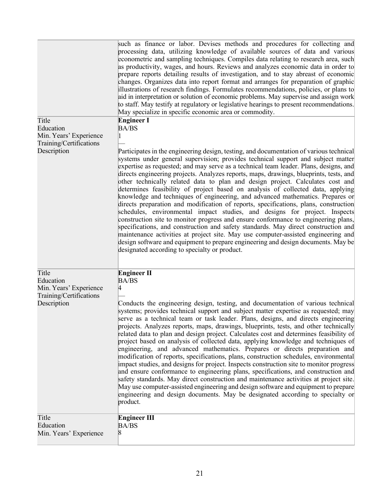|                                                                                        | such as finance or labor. Devises methods and procedures for collecting and<br>processing data, utilizing knowledge of available sources of data and various<br>econometric and sampling techniques. Compiles data relating to research area, such<br>as productivity, wages, and hours. Reviews and analyzes economic data in order to<br>prepare reports detailing results of investigation, and to stay abreast of economic<br>changes. Organizes data into report format and arranges for preparation of graphic<br>illustrations of research findings. Formulates recommendations, policies, or plans to<br>aid in interpretation or solution of economic problems. May supervise and assign work<br>to staff. May testify at regulatory or legislative hearings to present recommendations.<br>May specialize in specific economic area or commodity.                                                                                                                                                                                                                                                                                                           |
|----------------------------------------------------------------------------------------|-----------------------------------------------------------------------------------------------------------------------------------------------------------------------------------------------------------------------------------------------------------------------------------------------------------------------------------------------------------------------------------------------------------------------------------------------------------------------------------------------------------------------------------------------------------------------------------------------------------------------------------------------------------------------------------------------------------------------------------------------------------------------------------------------------------------------------------------------------------------------------------------------------------------------------------------------------------------------------------------------------------------------------------------------------------------------------------------------------------------------------------------------------------------------|
| Title<br>Education<br>Min. Years' Experience<br>Training/Certifications<br>Description | Engineer I<br><b>BA/BS</b><br>Participates in the engineering design, testing, and documentation of various technical<br>systems under general supervision; provides technical support and subject matter<br>expertise as requested; and may serve as a technical team leader. Plans, designs, and<br>directs engineering projects. Analyzes reports, maps, drawings, blueprints, tests, and<br>other technically related data to plan and design project. Calculates cost and<br>determines feasibility of project based on analysis of collected data, applying                                                                                                                                                                                                                                                                                                                                                                                                                                                                                                                                                                                                     |
|                                                                                        | knowledge and techniques of engineering, and advanced mathematics. Prepares or<br>directs preparation and modification of reports, specifications, plans, construction<br>schedules, environmental impact studies, and designs for project. Inspects<br>construction site to monitor progress and ensure conformance to engineering plans,<br>specifications, and construction and safety standards. May direct construction and<br>maintenance activities at project site. May use computer-assisted engineering and<br>design software and equipment to prepare engineering and design documents. May be<br>designated according to specialty or product.                                                                                                                                                                                                                                                                                                                                                                                                                                                                                                           |
| Title<br>Education<br>Min. Years' Experience<br>Training/Certifications                | <b>Engineer II</b><br><b>BA/BS</b><br>4                                                                                                                                                                                                                                                                                                                                                                                                                                                                                                                                                                                                                                                                                                                                                                                                                                                                                                                                                                                                                                                                                                                               |
| Description                                                                            | Conducts the engineering design, testing, and documentation of various technical<br>systems; provides technical support and subject matter expertise as requested; may<br>serve as a technical team or task leader. Plans, designs, and directs engineering<br>projects. Analyzes reports, maps, drawings, blueprints, tests, and other technically<br>related data to plan and design project. Calculates cost and determines feasibility of<br>project based on analysis of collected data, applying knowledge and techniques of<br>engineering, and advanced mathematics. Prepares or directs preparation and<br>modification of reports, specifications, plans, construction schedules, environmental<br>impact studies, and designs for project. Inspects construction site to monitor progress<br>and ensure conformance to engineering plans, specifications, and construction and<br>safety standards. May direct construction and maintenance activities at project site.<br>May use computer-assisted engineering and design software and equipment to prepare<br>engineering and design documents. May be designated according to specialty or<br>product. |
| Title<br>Education<br>Min. Years' Experience                                           | Engineer III<br><b>BA/BS</b><br>8                                                                                                                                                                                                                                                                                                                                                                                                                                                                                                                                                                                                                                                                                                                                                                                                                                                                                                                                                                                                                                                                                                                                     |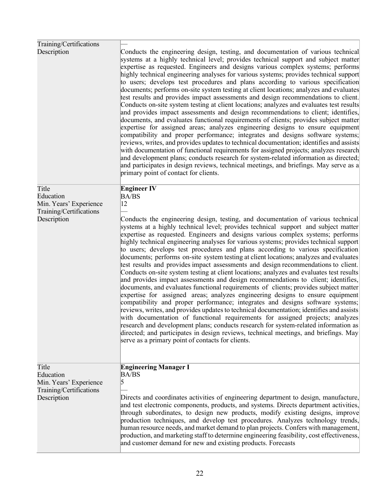| Training/Certifications                           |                                                                                                                                                                                                                                                                                                                                                                                                                                                                                                                                                                                                                                                                                                                                                                                                                                                                                                                                                                                                                                                                                                                                                                                                                                                                                                                                                                                                                                                                                     |
|---------------------------------------------------|-------------------------------------------------------------------------------------------------------------------------------------------------------------------------------------------------------------------------------------------------------------------------------------------------------------------------------------------------------------------------------------------------------------------------------------------------------------------------------------------------------------------------------------------------------------------------------------------------------------------------------------------------------------------------------------------------------------------------------------------------------------------------------------------------------------------------------------------------------------------------------------------------------------------------------------------------------------------------------------------------------------------------------------------------------------------------------------------------------------------------------------------------------------------------------------------------------------------------------------------------------------------------------------------------------------------------------------------------------------------------------------------------------------------------------------------------------------------------------------|
| Description                                       | Conducts the engineering design, testing, and documentation of various technical<br>systems at a highly technical level; provides technical support and subject matter<br>expertise as requested. Engineers and designs various complex systems; performs<br>highly technical engineering analyses for various systems; provides technical support<br>to users; develops test procedures and plans according to various specification<br>documents; performs on-site system testing at client locations; analyzes and evaluates<br>test results and provides impact assessments and design recommendations to client.<br>Conducts on-site system testing at client locations; analyzes and evaluates test results<br>and provides impact assessments and design recommendations to client; identifies,<br>documents, and evaluates functional requirements of clients; provides subject matter<br>expertise for assigned areas; analyzes engineering designs to ensure equipment<br>compatibility and proper performance; integrates and designs software systems;<br>reviews, writes, and provides updates to technical documentation; identifies and assists<br>with documentation of functional requirements for assigned projects; analyzes research<br>and development plans; conducts research for system-related information as directed;<br>and participates in design reviews, technical meetings, and briefings. May serve as a<br>primary point of contact for clients.  |
| Title<br>Education                                | <b>Engineer IV</b><br><b>BA/BS</b>                                                                                                                                                                                                                                                                                                                                                                                                                                                                                                                                                                                                                                                                                                                                                                                                                                                                                                                                                                                                                                                                                                                                                                                                                                                                                                                                                                                                                                                  |
| Min. Years' Experience                            | 12                                                                                                                                                                                                                                                                                                                                                                                                                                                                                                                                                                                                                                                                                                                                                                                                                                                                                                                                                                                                                                                                                                                                                                                                                                                                                                                                                                                                                                                                                  |
| Training/Certifications<br>Description            | Conducts the engineering design, testing, and documentation of various technical<br>systems at a highly technical level; provides technical support and subject matter<br>expertise as requested. Engineers and designs various complex systems; performs<br>highly technical engineering analyses for various systems; provides technical support<br>to users; develops test procedures and plans according to various specification<br>documents; performs on-site system testing at client locations; analyzes and evaluates<br>test results and provides impact assessments and design recommendations to client.<br>Conducts on-site system testing at client locations; analyzes and evaluates test results<br>and provides impact assessments and design recommendations to client; identifies,<br>documents, and evaluates functional requirements of clients; provides subject matter<br>expertise for assigned areas; analyzes engineering designs to ensure equipment<br>compatibility and proper performance; integrates and designs software systems;<br>reviews, writes, and provides updates to technical documentation; identifies and assists<br>with documentation of functional requirements for assigned projects; analyzes<br>research and development plans; conducts research for system-related information as<br>directed; and participates in design reviews, technical meetings, and briefings. May<br>serve as a primary point of contacts for clients. |
| Title<br>Education                                | <b>Engineering Manager I</b><br><b>BA/BS</b>                                                                                                                                                                                                                                                                                                                                                                                                                                                                                                                                                                                                                                                                                                                                                                                                                                                                                                                                                                                                                                                                                                                                                                                                                                                                                                                                                                                                                                        |
| Min. Years' Experience<br>Training/Certifications | 5                                                                                                                                                                                                                                                                                                                                                                                                                                                                                                                                                                                                                                                                                                                                                                                                                                                                                                                                                                                                                                                                                                                                                                                                                                                                                                                                                                                                                                                                                   |
| Description                                       | Directs and coordinates activities of engineering department to design, manufacture,<br>and test electronic components, products, and systems. Directs department activities,<br>through subordinates, to design new products, modify existing designs, improve<br>production techniques, and develop test procedures. Analyzes technology trends,<br>human resource needs, and market demand to plan projects. Confers with management,<br>production, and marketing staff to determine engineering feasibility, cost effectiveness,<br>and customer demand for new and existing products. Forecasts                                                                                                                                                                                                                                                                                                                                                                                                                                                                                                                                                                                                                                                                                                                                                                                                                                                                               |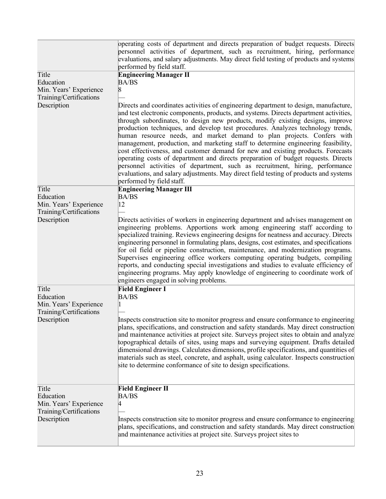|                                                                                        | operating costs of department and directs preparation of budget requests. Directs<br>personnel activities of department, such as recruitment, hiring, performance<br>evaluations, and salary adjustments. May direct field testing of products and systems<br>performed by field staff.                                                                                                                                                                                                                                                                                                                                                                                                                                                                                                                                                                                                                                                                |
|----------------------------------------------------------------------------------------|--------------------------------------------------------------------------------------------------------------------------------------------------------------------------------------------------------------------------------------------------------------------------------------------------------------------------------------------------------------------------------------------------------------------------------------------------------------------------------------------------------------------------------------------------------------------------------------------------------------------------------------------------------------------------------------------------------------------------------------------------------------------------------------------------------------------------------------------------------------------------------------------------------------------------------------------------------|
| Title<br>Education<br>Min. Years' Experience<br>Training/Certifications<br>Description | <b>Engineering Manager II</b><br><b>BA/BS</b><br>8<br>Directs and coordinates activities of engineering department to design, manufacture,<br>and test electronic components, products, and systems. Directs department activities,<br>through subordinates, to design new products, modify existing designs, improve<br>production techniques, and develop test procedures. Analyzes technology trends,<br>human resource needs, and market demand to plan projects. Confers with<br>management, production, and marketing staff to determine engineering feasibility,<br>cost effectiveness, and customer demand for new and existing products. Forecasts<br>operating costs of department and directs preparation of budget requests. Directs<br>personnel activities of department, such as recruitment, hiring, performance<br>evaluations, and salary adjustments. May direct field testing of products and systems<br>performed by field staff. |
| Title<br>Education<br>Min. Years' Experience<br>Training/Certifications<br>Description | <b>Engineering Manager III</b><br>BA/BS<br>12<br>Directs activities of workers in engineering department and advises management on<br>engineering problems. Apportions work among engineering staff according to<br>specialized training. Reviews engineering designs for neatness and accuracy. Directs<br>engineering personnel in formulating plans, designs, cost estimates, and specifications<br>for oil field or pipeline construction, maintenance, and modernization programs.<br>Supervises engineering office workers computing operating budgets, compiling<br>reports, and conducting special investigations and studies to evaluate efficiency of<br>engineering programs. May apply knowledge of engineering to coordinate work of<br>engineers engaged in solving problems.                                                                                                                                                            |
| Title<br>Education<br>Min. Years' Experience<br>Training/Certifications<br>Description | <b>Field Engineer I</b><br><b>BA/BS</b><br>Inspects construction site to monitor progress and ensure conformance to engineering<br>plans, specifications, and construction and safety standards. May direct construction<br>and maintenance activities at project site. Surveys project sites to obtain and analyze<br>topographical details of sites, using maps and surveying equipment. Drafts detailed<br>dimensional drawings. Calculates dimensions, profile specifications, and quantities of<br>materials such as steel, concrete, and asphalt, using calculator. Inspects construction<br>site to determine conformance of site to design specifications.                                                                                                                                                                                                                                                                                     |
| Title<br>Education<br>Min. Years' Experience<br>Training/Certifications<br>Description | <b>Field Engineer II</b><br><b>BA/BS</b><br>4<br>Inspects construction site to monitor progress and ensure conformance to engineering<br>plans, specifications, and construction and safety standards. May direct construction<br>and maintenance activities at project site. Surveys project sites to                                                                                                                                                                                                                                                                                                                                                                                                                                                                                                                                                                                                                                                 |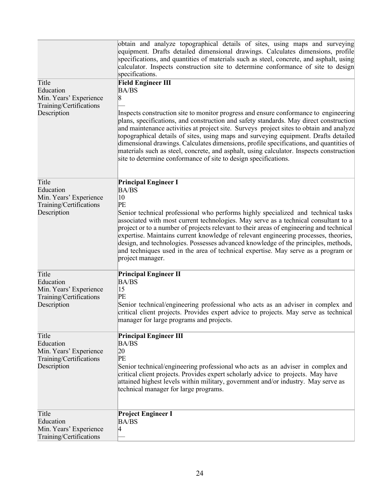|                                                                                        | obtain and analyze topographical details of sites, using maps and surveying<br>equipment. Drafts detailed dimensional drawings. Calculates dimensions, profile<br>specifications, and quantities of materials such as steel, concrete, and asphalt, using<br>calculator. Inspects construction site to determine conformance of site to design<br>specifications.                                                                                                                                                                                                                                                                                                         |
|----------------------------------------------------------------------------------------|---------------------------------------------------------------------------------------------------------------------------------------------------------------------------------------------------------------------------------------------------------------------------------------------------------------------------------------------------------------------------------------------------------------------------------------------------------------------------------------------------------------------------------------------------------------------------------------------------------------------------------------------------------------------------|
| Title<br>Education<br>Min. Years' Experience<br>Training/Certifications<br>Description | <b>Field Engineer III</b><br><b>BA/BS</b><br>8<br>Inspects construction site to monitor progress and ensure conformance to engineering<br>plans, specifications, and construction and safety standards. May direct construction<br>and maintenance activities at project site. Surveys project sites to obtain and analyze<br>topographical details of sites, using maps and surveying equipment. Drafts detailed<br>dimensional drawings. Calculates dimensions, profile specifications, and quantities of<br>materials such as steel, concrete, and asphalt, using calculator. Inspects construction<br>site to determine conformance of site to design specifications. |
| Title<br>Education<br>Min. Years' Experience<br>Training/Certifications<br>Description | <b>Principal Engineer I</b><br><b>BA/BS</b><br>10<br>PE<br>Senior technical professional who performs highly specialized and technical tasks<br>associated with most current technologies. May serve as a technical consultant to a<br>project or to a number of projects relevant to their areas of engineering and technical<br>expertise. Maintains current knowledge of relevant engineering processes, theories,<br>design, and technologies. Possesses advanced knowledge of the principles, methods,<br>and techniques used in the area of technical expertise. May serve as a program or<br>project manager.                                                      |
| Title<br>Education<br>Min. Years' Experience<br>Training/Certifications<br>Description | <b>Principal Engineer II</b><br><b>BA/BS</b><br> 15<br>PE<br>Senior technical/engineering professional who acts as an adviser in complex and<br>critical client projects. Provides expert advice to projects. May serve as technical<br>manager for large programs and projects.                                                                                                                                                                                                                                                                                                                                                                                          |
| Title<br>Education<br>Min. Years' Experience<br>Training/Certifications<br>Description | <b>Principal Engineer III</b><br><b>BA/BS</b><br>20<br>PE<br>Senior technical/engineering professional who acts as an adviser in complex and<br>critical client projects. Provides expert scholarly advice to projects. May have<br>attained highest levels within military, government and/or industry. May serve as<br>technical manager for large programs.                                                                                                                                                                                                                                                                                                            |
| Title<br>Education<br>Min. Years' Experience<br>Training/Certifications                | <b>Project Engineer I</b><br><b>BA/BS</b><br>4                                                                                                                                                                                                                                                                                                                                                                                                                                                                                                                                                                                                                            |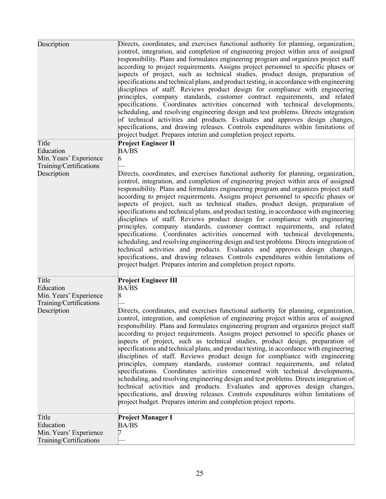| Description                                                             | Directs, coordinates, and exercises functional authority for planning, organization,<br>control, integration, and completion of engineering project within area of assigned<br>responsibility. Plans and formulates engineering program and organizes project staff<br>according to project requirements. Assigns project personnel to specific phases or<br>aspects of project, such as technical studies, product design, preparation of<br>specifications and technical plans, and product testing, in accordance with engineering<br>disciplines of staff. Reviews product design for compliance with engineering<br>principles, company standards, customer contract requirements, and related<br>specifications. Coordinates activities concerned with technical developments,<br>scheduling, and resolving engineering design and test problems. Directs integration<br>of technical activities and products. Evaluates and approves design changes,<br>specifications, and drawing releases. Controls expenditures within limitations of<br>project budget. Prepares interim and completion project reports. |
|-------------------------------------------------------------------------|----------------------------------------------------------------------------------------------------------------------------------------------------------------------------------------------------------------------------------------------------------------------------------------------------------------------------------------------------------------------------------------------------------------------------------------------------------------------------------------------------------------------------------------------------------------------------------------------------------------------------------------------------------------------------------------------------------------------------------------------------------------------------------------------------------------------------------------------------------------------------------------------------------------------------------------------------------------------------------------------------------------------------------------------------------------------------------------------------------------------|
| Title<br>Education<br>Min. Years' Experience<br>Training/Certifications | <b>Project Engineer II</b><br><b>BA/BS</b><br>6                                                                                                                                                                                                                                                                                                                                                                                                                                                                                                                                                                                                                                                                                                                                                                                                                                                                                                                                                                                                                                                                      |
| Description                                                             | Directs, coordinates, and exercises functional authority for planning, organization,<br>control, integration, and completion of engineering project within area of assigned<br>responsibility. Plans and formulates engineering program and organizes project staff<br>according to project requirements. Assigns project personnel to specific phases or<br>aspects of project, such as technical studies, product design, preparation of<br>specifications and technical plans, and product testing, in accordance with engineering<br>disciplines of staff. Reviews product design for compliance with engineering<br>principles, company standards, customer contract requirements, and related<br>specifications. Coordinates activities concerned with technical developments,<br>scheduling, and resolving engineering design and test problems. Directs integration of<br>technical activities and products. Evaluates and approves design changes,<br>specifications, and drawing releases. Controls expenditures within limitations of<br>project budget. Prepares interim and completion project reports. |
| Title<br>Education<br>Min. Years' Experience                            | <b>Project Engineer III</b><br><b>BA/BS</b><br>8                                                                                                                                                                                                                                                                                                                                                                                                                                                                                                                                                                                                                                                                                                                                                                                                                                                                                                                                                                                                                                                                     |
| Training/Certifications<br>Description                                  | Directs, coordinates, and exercises functional authority for planning, organization,<br>control, integration, and completion of engineering project within area of assigned<br>responsibility. Plans and formulates engineering program and organizes project staff<br>according to project requirements. Assigns project personnel to specific phases or<br>aspects of project, such as technical studies, product design, preparation of<br>specifications and technical plans, and product testing, in accordance with engineering<br>disciplines of staff. Reviews product design for compliance with engineering<br>principles, company standards, customer contract requirements, and related<br>specifications. Coordinates activities concerned with technical developments,<br>scheduling, and resolving engineering design and test problems. Directs integration of<br>technical activities and products. Evaluates and approves design changes,<br>specifications, and drawing releases. Controls expenditures within limitations of<br>project budget. Prepares interim and completion project reports. |
| Title<br>Education<br>Min. Years' Experience                            | <b>Project Manager I</b><br><b>BA/BS</b>                                                                                                                                                                                                                                                                                                                                                                                                                                                                                                                                                                                                                                                                                                                                                                                                                                                                                                                                                                                                                                                                             |
| Training/Certifications                                                 |                                                                                                                                                                                                                                                                                                                                                                                                                                                                                                                                                                                                                                                                                                                                                                                                                                                                                                                                                                                                                                                                                                                      |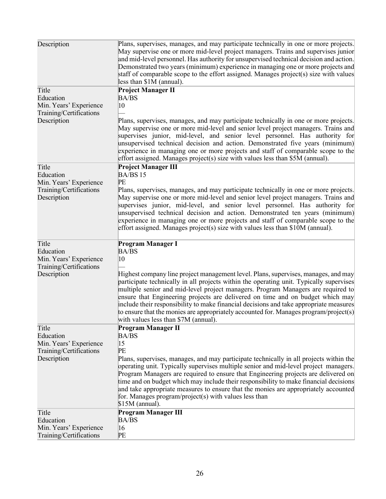| Description                                                      | Plans, supervises, manages, and may participate technically in one or more projects.<br>May supervise one or more mid-level project managers. Trains and supervises junior<br>and mid-level personnel. Has authority for unsupervised technical decision and action.<br>Demonstrated two years (minimum) experience in managing one or more projects and<br>staff of comparable scope to the effort assigned. Manages project(s) size with values<br>less than \$1M (annual).                                   |
|------------------------------------------------------------------|-----------------------------------------------------------------------------------------------------------------------------------------------------------------------------------------------------------------------------------------------------------------------------------------------------------------------------------------------------------------------------------------------------------------------------------------------------------------------------------------------------------------|
| Title<br>Education                                               | <b>Project Manager II</b><br><b>BA/BS</b>                                                                                                                                                                                                                                                                                                                                                                                                                                                                       |
| Min. Years' Experience                                           | $ 10\rangle$                                                                                                                                                                                                                                                                                                                                                                                                                                                                                                    |
| Training/Certifications                                          |                                                                                                                                                                                                                                                                                                                                                                                                                                                                                                                 |
| Description                                                      | Plans, supervises, manages, and may participate technically in one or more projects.<br>May supervise one or more mid-level and senior level project managers. Trains and<br>supervises junior, mid-level, and senior level personnel. Has authority for<br>unsupervised technical decision and action. Demonstrated five years (minimum)<br>experience in managing one or more projects and staff of comparable scope to the<br>effort assigned. Manages project(s) size with values less than $$5M$ (annual). |
| Title                                                            | <b>Project Manager III</b>                                                                                                                                                                                                                                                                                                                                                                                                                                                                                      |
| Education                                                        | <b>BA/BS15</b><br>PE                                                                                                                                                                                                                                                                                                                                                                                                                                                                                            |
| Min. Years' Experience<br>Training/Certifications<br>Description | Plans, supervises, manages, and may participate technically in one or more projects.<br>May supervise one or more mid-level and senior level project managers. Trains and<br>supervises junior, mid-level, and senior level personnel. Has authority for<br>unsupervised technical decision and action. Demonstrated ten years (minimum)<br>experience in managing one or more projects and staff of comparable scope to the<br>effort assigned. Manages project(s) size with values less than $$10M$ (annual). |
| Title                                                            | Program Manager I                                                                                                                                                                                                                                                                                                                                                                                                                                                                                               |
| Education                                                        | <b>BA/BS</b>                                                                                                                                                                                                                                                                                                                                                                                                                                                                                                    |
| Min. Years' Experience                                           | $ 10\rangle$                                                                                                                                                                                                                                                                                                                                                                                                                                                                                                    |
| Training/Certifications                                          | Highest company line project management level. Plans, supervises, manages, and may                                                                                                                                                                                                                                                                                                                                                                                                                              |
| Description                                                      | participate technically in all projects within the operating unit. Typically supervises<br>multiple senior and mid-level project managers. Program Managers are required to<br>ensure that Engineering projects are delivered on time and on budget which may<br>include their responsibility to make financial decisions and take appropriate measures<br>to ensure that the monies are appropriately accounted for. Manages program/project(s)<br>with values less than \$7M (annual).                        |
| Title                                                            | Program Manager II                                                                                                                                                                                                                                                                                                                                                                                                                                                                                              |
| Education<br>Min. Years' Experience                              | <b>BA/BS</b><br>$ 15\rangle$                                                                                                                                                                                                                                                                                                                                                                                                                                                                                    |
| Training/Certifications                                          | PE                                                                                                                                                                                                                                                                                                                                                                                                                                                                                                              |
| Description                                                      | Plans, supervises, manages, and may participate technically in all projects within the                                                                                                                                                                                                                                                                                                                                                                                                                          |
|                                                                  | operating unit. Typically supervises multiple senior and mid-level project managers.                                                                                                                                                                                                                                                                                                                                                                                                                            |
|                                                                  | Program Managers are required to ensure that Engineering projects are delivered on<br>time and on budget which may include their responsibility to make financial decisions                                                                                                                                                                                                                                                                                                                                     |
|                                                                  | and take appropriate measures to ensure that the monies are appropriately accounted                                                                                                                                                                                                                                                                                                                                                                                                                             |
|                                                                  | for. Manages program/project(s) with values less than<br>$$15M$ (annual).                                                                                                                                                                                                                                                                                                                                                                                                                                       |
| Title                                                            | <b>Program Manager III</b>                                                                                                                                                                                                                                                                                                                                                                                                                                                                                      |
| Education                                                        | <b>BA/BS</b>                                                                                                                                                                                                                                                                                                                                                                                                                                                                                                    |
| Min. Years' Experience<br>Training/Certifications                | 16<br>PE                                                                                                                                                                                                                                                                                                                                                                                                                                                                                                        |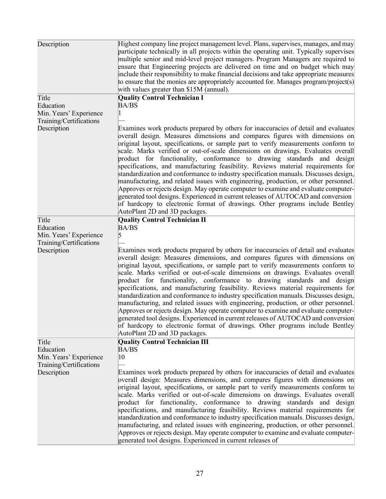| Description             | Highest company line project management level. Plans, supervises, manages, and may<br>participate technically in all projects within the operating unit. Typically supervises<br>multiple senior and mid-level project managers. Program Managers are required to<br>ensure that Engineering projects are delivered on time and on budget which may<br>include their responsibility to make financial decisions and take appropriate measures<br>to ensure that the monies are appropriately accounted for. Manages program/project(s)<br>with values greater than \$15M (annual).                                                                                                                                                                                                                                                                                                                                                                                                  |
|-------------------------|-------------------------------------------------------------------------------------------------------------------------------------------------------------------------------------------------------------------------------------------------------------------------------------------------------------------------------------------------------------------------------------------------------------------------------------------------------------------------------------------------------------------------------------------------------------------------------------------------------------------------------------------------------------------------------------------------------------------------------------------------------------------------------------------------------------------------------------------------------------------------------------------------------------------------------------------------------------------------------------|
| Title                   | <b>Quality Control Technician I</b>                                                                                                                                                                                                                                                                                                                                                                                                                                                                                                                                                                                                                                                                                                                                                                                                                                                                                                                                                 |
| Education               | <b>BA/BS</b>                                                                                                                                                                                                                                                                                                                                                                                                                                                                                                                                                                                                                                                                                                                                                                                                                                                                                                                                                                        |
| Min. Years' Experience  |                                                                                                                                                                                                                                                                                                                                                                                                                                                                                                                                                                                                                                                                                                                                                                                                                                                                                                                                                                                     |
| Training/Certifications |                                                                                                                                                                                                                                                                                                                                                                                                                                                                                                                                                                                                                                                                                                                                                                                                                                                                                                                                                                                     |
| Description             | Examines work products prepared by others for inaccuracies of detail and evaluates<br>overall design. Measures dimensions and compares figures with dimensions on<br>original layout, specifications, or sample part to verify measurements conform to<br>scale. Marks verified or out-of-scale dimensions on drawings. Evaluates overall<br>product for functionality, conformance to drawing standards and design<br>specifications, and manufacturing feasibility. Reviews material requirements for<br>standardization and conformance to industry specification manuals. Discusses design,<br>manufacturing, and related issues with engineering, production, or other personnel.<br>Approves or rejects design. May operate computer to examine and evaluate computer-<br>generated tool designs. Experienced in current releases of AUTOCAD and conversion<br>of hardcopy to electronic format of drawings. Other programs include Bentley<br>AutoPlant 2D and 3D packages.  |
| Title                   | <b>Quality Control Technician II</b>                                                                                                                                                                                                                                                                                                                                                                                                                                                                                                                                                                                                                                                                                                                                                                                                                                                                                                                                                |
| Education               | <b>BA/BS</b>                                                                                                                                                                                                                                                                                                                                                                                                                                                                                                                                                                                                                                                                                                                                                                                                                                                                                                                                                                        |
| Min. Years' Experience  | 5                                                                                                                                                                                                                                                                                                                                                                                                                                                                                                                                                                                                                                                                                                                                                                                                                                                                                                                                                                                   |
| Training/Certifications |                                                                                                                                                                                                                                                                                                                                                                                                                                                                                                                                                                                                                                                                                                                                                                                                                                                                                                                                                                                     |
| Description             | Examines work products prepared by others for inaccuracies of detail and evaluates<br>overall design: Measures dimensions, and compares figures with dimensions on<br>original layout, specifications, or sample part to verify measurements conform to<br>scale. Marks verified or out-of-scale dimensions on drawings. Evaluates overall<br>product for functionality, conformance to drawing standards and design<br>specifications, and manufacturing feasibility. Reviews material requirements for<br>standardization and conformance to industry specification manuals. Discusses design,<br>manufacturing, and related issues with engineering, production, or other personnel.<br>Approves or rejects design. May operate computer to examine and evaluate computer-<br>generated tool designs. Experienced in current releases of AUTOCAD and conversion<br>of hardcopy to electronic format of drawings. Other programs include Bentley<br>AutoPlant 2D and 3D packages. |
| Title                   | <b>Quality Control Technician III</b>                                                                                                                                                                                                                                                                                                                                                                                                                                                                                                                                                                                                                                                                                                                                                                                                                                                                                                                                               |
| Education               | <b>BA/BS</b>                                                                                                                                                                                                                                                                                                                                                                                                                                                                                                                                                                                                                                                                                                                                                                                                                                                                                                                                                                        |
| Min. Years' Experience  | 10                                                                                                                                                                                                                                                                                                                                                                                                                                                                                                                                                                                                                                                                                                                                                                                                                                                                                                                                                                                  |
| Training/Certifications |                                                                                                                                                                                                                                                                                                                                                                                                                                                                                                                                                                                                                                                                                                                                                                                                                                                                                                                                                                                     |
| Description             | Examines work products prepared by others for inaccuracies of detail and evaluates<br>overall design: Measures dimensions, and compares figures with dimensions on<br>original layout, specifications, or sample part to verify measurements conform to<br>scale. Marks verified or out-of-scale dimensions on drawings. Evaluates overall<br>product for functionality, conformance to drawing standards and design<br>specifications, and manufacturing feasibility. Reviews material requirements for<br>standardization and conformance to industry specification manuals. Discusses design,<br>manufacturing, and related issues with engineering, production, or other personnel.                                                                                                                                                                                                                                                                                             |
|                         | Approves or rejects design. May operate computer to examine and evaluate computer-<br>generated tool designs. Experienced in current releases of                                                                                                                                                                                                                                                                                                                                                                                                                                                                                                                                                                                                                                                                                                                                                                                                                                    |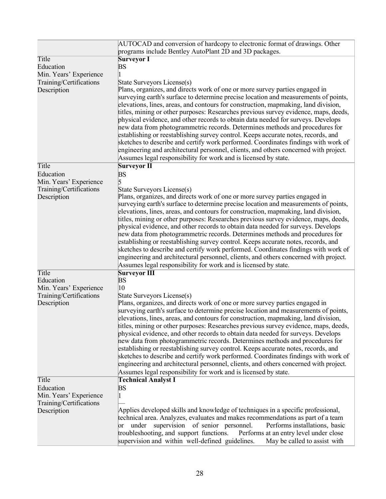|                         | AUTOCAD and conversion of hardcopy to electronic format of drawings. Other                                                                                              |
|-------------------------|-------------------------------------------------------------------------------------------------------------------------------------------------------------------------|
|                         | programs include Bentley AutoPlant 2D and 3D packages.                                                                                                                  |
| Title                   | Surveyor I                                                                                                                                                              |
| Education               | BS                                                                                                                                                                      |
| Min. Years' Experience  |                                                                                                                                                                         |
| Training/Certifications | State Surveyors License(s)                                                                                                                                              |
| Description             | Plans, organizes, and directs work of one or more survey parties engaged in                                                                                             |
|                         | surveying earth's surface to determine precise location and measurements of points,                                                                                     |
|                         | elevations, lines, areas, and contours for construction, mapmaking, land division,                                                                                      |
|                         | titles, mining or other purposes: Researches previous survey evidence, maps, deeds,                                                                                     |
|                         | physical evidence, and other records to obtain data needed for surveys. Develops                                                                                        |
|                         | new data from photogrammetric records. Determines methods and procedures for                                                                                            |
|                         | establishing or reestablishing survey control. Keeps accurate notes, records, and                                                                                       |
|                         | sketches to describe and certify work performed. Coordinates findings with work of                                                                                      |
|                         | engineering and architectural personnel, clients, and others concerned with project.                                                                                    |
|                         | Assumes legal responsibility for work and is licensed by state.                                                                                                         |
| Title                   | Surveyor II                                                                                                                                                             |
| Education               | BS                                                                                                                                                                      |
| Min. Years' Experience  |                                                                                                                                                                         |
| Training/Certifications | State Surveyors License(s)                                                                                                                                              |
| Description             | Plans, organizes, and directs work of one or more survey parties engaged in                                                                                             |
|                         | surveying earth's surface to determine precise location and measurements of points,                                                                                     |
|                         | elevations, lines, areas, and contours for construction, mapmaking, land division,                                                                                      |
|                         | titles, mining or other purposes: Researches previous survey evidence, maps, deeds,                                                                                     |
|                         | physical evidence, and other records to obtain data needed for surveys. Develops                                                                                        |
|                         | new data from photogrammetric records. Determines methods and procedures for                                                                                            |
|                         | establishing or reestablishing survey control. Keeps accurate notes, records, and<br>sketches to describe and certify work performed. Coordinates findings with work of |
|                         | engineering and architectural personnel, clients, and others concerned with project.                                                                                    |
|                         | Assumes legal responsibility for work and is licensed by state.                                                                                                         |
| Title                   | <b>Surveyor III</b>                                                                                                                                                     |
| Education               | BS                                                                                                                                                                      |
| Min. Years' Experience  | 10                                                                                                                                                                      |
| Training/Certifications | State Surveyors License(s)                                                                                                                                              |
| Description             | Plans, organizes, and directs work of one or more survey parties engaged in                                                                                             |
|                         | surveying earth's surface to determine precise location and measurements of points,                                                                                     |
|                         | elevations, lines, areas, and contours for construction, mapmaking, land division,                                                                                      |
|                         | titles, mining or other purposes: Researches previous survey evidence, maps, deeds,                                                                                     |
|                         | physical evidence, and other records to obtain data needed for surveys. Develops                                                                                        |
|                         | new data from photogrammetric records. Determines methods and procedures for                                                                                            |
|                         | establishing or reestablishing survey control. Keeps accurate notes, records, and                                                                                       |
|                         | sketches to describe and certify work performed. Coordinates findings with work of                                                                                      |
|                         | engineering and architectural personnel, clients, and others concerned with project.                                                                                    |
|                         | Assumes legal responsibility for work and is licensed by state.                                                                                                         |
| Title                   | <b>Technical Analyst I</b>                                                                                                                                              |
| Education               | BS                                                                                                                                                                      |
| Min. Years' Experience  | 1                                                                                                                                                                       |
| Training/Certifications |                                                                                                                                                                         |
| Description             | Applies developed skills and knowledge of techniques in a specific professional,                                                                                        |
|                         | technical area. Analyzes, evaluates and makes recommendations as part of a team                                                                                         |
|                         | under supervision of senior personnel.<br>Performs installations, basic<br>or                                                                                           |
|                         | Performs at an entry level under close<br>troubleshooting, and support functions.                                                                                       |
|                         | supervision and within well-defined guidelines.<br>May be called to assist with                                                                                         |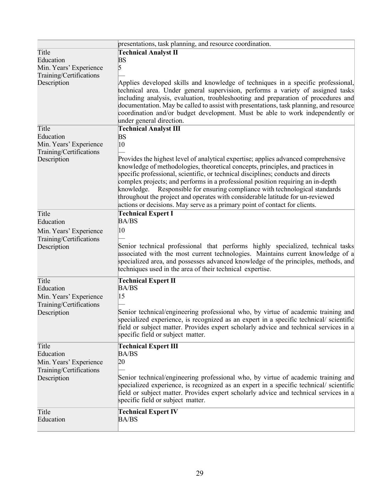|                         | presentations, task planning, and resource coordination.                                                                                                                                                                                                                                                                                                                                                                                                                                                      |
|-------------------------|---------------------------------------------------------------------------------------------------------------------------------------------------------------------------------------------------------------------------------------------------------------------------------------------------------------------------------------------------------------------------------------------------------------------------------------------------------------------------------------------------------------|
| Title                   | <b>Technical Analyst II</b>                                                                                                                                                                                                                                                                                                                                                                                                                                                                                   |
| Education               | BS                                                                                                                                                                                                                                                                                                                                                                                                                                                                                                            |
| Min. Years' Experience  | 5                                                                                                                                                                                                                                                                                                                                                                                                                                                                                                             |
| Training/Certifications |                                                                                                                                                                                                                                                                                                                                                                                                                                                                                                               |
| Description             | Applies developed skills and knowledge of techniques in a specific professional,<br>technical area. Under general supervision, performs a variety of assigned tasks<br>including analysis, evaluation, troubleshooting and preparation of procedures and<br>documentation. May be called to assist with presentations, task planning, and resource<br>coordination and/or budget development. Must be able to work independently or<br>under general direction.                                               |
| Title                   | <b>Technical Analyst III</b>                                                                                                                                                                                                                                                                                                                                                                                                                                                                                  |
| Education               | BS                                                                                                                                                                                                                                                                                                                                                                                                                                                                                                            |
| Min. Years' Experience  | $ 10\rangle$                                                                                                                                                                                                                                                                                                                                                                                                                                                                                                  |
| Training/Certifications |                                                                                                                                                                                                                                                                                                                                                                                                                                                                                                               |
| Description             | Provides the highest level of analytical expertise; applies advanced comprehensive<br>knowledge of methodologies, theoretical concepts, principles, and practices in<br>specific professional, scientific, or technical disciplines; conducts and directs<br>complex projects; and performs in a professional position requiring an in-depth<br>knowledge. Responsible for ensuring compliance with technological standards<br>throughout the project and operates with considerable latitude for un-reviewed |
|                         | actions or decisions. May serve as a primary point of contact for clients.                                                                                                                                                                                                                                                                                                                                                                                                                                    |
| Title                   | <b>Technical Expert I</b>                                                                                                                                                                                                                                                                                                                                                                                                                                                                                     |
| Education               | <b>BA/BS</b>                                                                                                                                                                                                                                                                                                                                                                                                                                                                                                  |
| Min. Years' Experience  | 10                                                                                                                                                                                                                                                                                                                                                                                                                                                                                                            |
| Training/Certifications |                                                                                                                                                                                                                                                                                                                                                                                                                                                                                                               |
| Description             | Senior technical professional that performs highly specialized, technical tasks<br>associated with the most current technologies. Maintains current knowledge of a<br>specialized area, and possesses advanced knowledge of the principles, methods, and<br>techniques used in the area of their technical expertise.                                                                                                                                                                                         |
| Title                   | <b>Technical Expert II</b>                                                                                                                                                                                                                                                                                                                                                                                                                                                                                    |
| Education               | <b>BA/BS</b>                                                                                                                                                                                                                                                                                                                                                                                                                                                                                                  |
| Min. Years' Experience  | 15                                                                                                                                                                                                                                                                                                                                                                                                                                                                                                            |
| Training/Certifications |                                                                                                                                                                                                                                                                                                                                                                                                                                                                                                               |
| Description             | Senior technical/engineering professional who, by virtue of academic training and<br>specialized experience, is recognized as an expert in a specific technical/scientific<br>field or subject matter. Provides expert scholarly advice and technical services in a<br>specific field or subject matter.                                                                                                                                                                                                      |
| Title                   | <b>Technical Expert III</b>                                                                                                                                                                                                                                                                                                                                                                                                                                                                                   |
| Education               | BA/BS                                                                                                                                                                                                                                                                                                                                                                                                                                                                                                         |
| Min. Years' Experience  | 20                                                                                                                                                                                                                                                                                                                                                                                                                                                                                                            |
| Training/Certifications |                                                                                                                                                                                                                                                                                                                                                                                                                                                                                                               |
| Description             | Senior technical/engineering professional who, by virtue of academic training and<br>specialized experience, is recognized as an expert in a specific technical/ scientific<br>field or subject matter. Provides expert scholarly advice and technical services in a<br>specific field or subject matter.                                                                                                                                                                                                     |
| Title                   | <b>Technical Expert IV</b>                                                                                                                                                                                                                                                                                                                                                                                                                                                                                    |
| Education               | BA/BS                                                                                                                                                                                                                                                                                                                                                                                                                                                                                                         |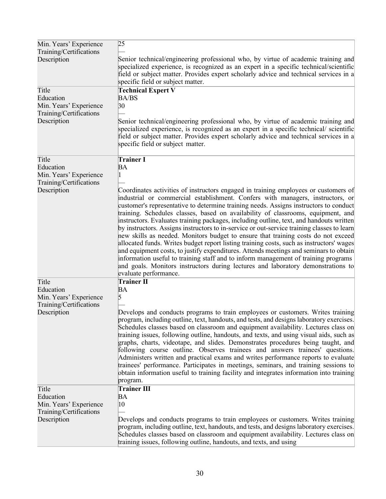| Min. Years' Experience<br>Training/Certifications<br>Description<br>Title              | 25<br>Senior technical/engineering professional who, by virtue of academic training and<br>specialized experience, is recognized as an expert in a specific technical/scientific<br>field or subject matter. Provides expert scholarly advice and technical services in a<br>specific field or subject matter.<br><b>Technical Expert V</b>                                                                                                                                                                                                                                                                                                                                                                                                                                                                                                                                                                                       |
|----------------------------------------------------------------------------------------|-----------------------------------------------------------------------------------------------------------------------------------------------------------------------------------------------------------------------------------------------------------------------------------------------------------------------------------------------------------------------------------------------------------------------------------------------------------------------------------------------------------------------------------------------------------------------------------------------------------------------------------------------------------------------------------------------------------------------------------------------------------------------------------------------------------------------------------------------------------------------------------------------------------------------------------|
| Education<br>Min. Years' Experience<br>Training/Certifications<br>Description          | <b>BA/BS</b><br>30<br>Senior technical/engineering professional who, by virtue of academic training and<br>specialized experience, is recognized as an expert in a specific technical/scientific<br>field or subject matter. Provides expert scholarly advice and technical services in a<br>specific field or subject matter.                                                                                                                                                                                                                                                                                                                                                                                                                                                                                                                                                                                                    |
| Title<br>Education<br>Min. Years' Experience<br>Training/Certifications<br>Description | <b>Trainer I</b><br>BA<br>Coordinates activities of instructors engaged in training employees or customers of                                                                                                                                                                                                                                                                                                                                                                                                                                                                                                                                                                                                                                                                                                                                                                                                                     |
|                                                                                        | industrial or commercial establishment. Confers with managers, instructors, or<br>customer's representative to determine training needs. Assigns instructors to conduct<br>training. Schedules classes, based on availability of classrooms, equipment, and<br>instructors. Evaluates training packages, including outline, text, and handouts written<br>by instructors. Assigns instructors to in-service or out-service training classes to learn<br>new skills as needed. Monitors budget to ensure that training costs do not exceed<br>allocated funds. Writes budget report listing training costs, such as instructors' wages<br>and equipment costs, to justify expenditures. Attends meetings and seminars to obtain<br>information useful to training staff and to inform management of training programs<br>and goals. Monitors instructors during lectures and laboratory demonstrations to<br>evaluate performance. |
| Title<br>Education<br>Min. Years' Experience<br>Training/Certifications                | <b>Trainer II</b><br>BA<br>5                                                                                                                                                                                                                                                                                                                                                                                                                                                                                                                                                                                                                                                                                                                                                                                                                                                                                                      |
| Description                                                                            | Develops and conducts programs to train employees or customers. Writes training<br>program, including outline, text, handouts, and tests, and designs laboratory exercises.<br>Schedules classes based on classroom and equipment availability. Lectures class on<br>training issues, following outline, handouts, and texts, and using visual aids, such as<br>graphs, charts, videotape, and slides. Demonstrates procedures being taught, and<br>following course outline. Observes trainees and answers trainees' questions.<br>Administers written and practical exams and writes performance reports to evaluate<br>trainees' performance. Participates in meetings, seminars, and training sessions to<br>obtain information useful to training facility and integrates information into training<br>program.                                                                                                              |
| Title<br>Education                                                                     | <b>Trainer III</b><br>ВA                                                                                                                                                                                                                                                                                                                                                                                                                                                                                                                                                                                                                                                                                                                                                                                                                                                                                                          |
| Min. Years' Experience<br>Training/Certifications                                      | 10                                                                                                                                                                                                                                                                                                                                                                                                                                                                                                                                                                                                                                                                                                                                                                                                                                                                                                                                |
| Description                                                                            | Develops and conducts programs to train employees or customers. Writes training<br>program, including outline, text, handouts, and tests, and designs laboratory exercises.<br>Schedules classes based on classroom and equipment availability. Lectures class on<br>training issues, following outline, handouts, and texts, and using                                                                                                                                                                                                                                                                                                                                                                                                                                                                                                                                                                                           |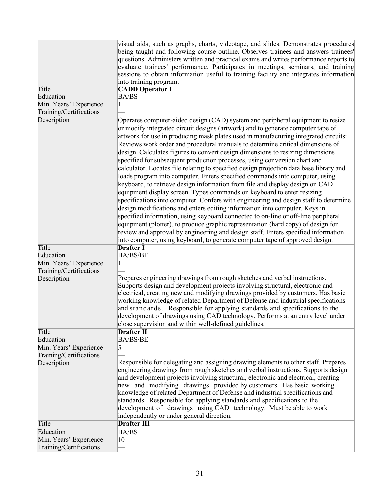|                                                                | visual aids, such as graphs, charts, videotape, and slides. Demonstrates procedures<br>being taught and following course outline. Observes trainees and answers trainees'<br>questions. Administers written and practical exams and writes performance reports to<br>evaluate trainees' performance. Participates in meetings, seminars, and training<br>sessions to obtain information useful to training facility and integrates information<br>into training program.                                                                                                                                                                                                                                                                                                                                                                                                                                                                                                                                                                                                                                                                                                                                                                                                                                                                                        |
|----------------------------------------------------------------|-----------------------------------------------------------------------------------------------------------------------------------------------------------------------------------------------------------------------------------------------------------------------------------------------------------------------------------------------------------------------------------------------------------------------------------------------------------------------------------------------------------------------------------------------------------------------------------------------------------------------------------------------------------------------------------------------------------------------------------------------------------------------------------------------------------------------------------------------------------------------------------------------------------------------------------------------------------------------------------------------------------------------------------------------------------------------------------------------------------------------------------------------------------------------------------------------------------------------------------------------------------------------------------------------------------------------------------------------------------------|
| Title<br>Education<br>Min. Years' Experience                   | <b>CADD Operator I</b><br><b>BA/BS</b><br>1                                                                                                                                                                                                                                                                                                                                                                                                                                                                                                                                                                                                                                                                                                                                                                                                                                                                                                                                                                                                                                                                                                                                                                                                                                                                                                                     |
| Training/Certifications<br>Description                         | Operates computer-aided design (CAD) system and peripheral equipment to resize<br>or modify integrated circuit designs (artwork) and to generate computer tape of<br>artwork for use in producing mask plates used in manufacturing integrated circuits:<br>Reviews work order and procedural manuals to determine critical dimensions of<br>design. Calculates figures to convert design dimensions to resizing dimensions<br>specified for subsequent production processes, using conversion chart and<br>calculator. Locates file relating to specified design projection data base library and<br>loads program into computer. Enters specified commands into computer, using<br>keyboard, to retrieve design information from file and display design on CAD<br>equipment display screen. Types commands on keyboard to enter resizing<br>specifications into computer. Confers with engineering and design staff to determine<br>design modifications and enters editing information into computer. Keys in<br>specified information, using keyboard connected to on-line or off-line peripheral<br>equipment (plotter), to produce graphic representation (hard copy) of design for<br>review and approval by engineering and design staff. Enters specified information<br>into computer, using keyboard, to generate computer tape of approved design. |
| Title<br>Education<br>Min. Years' Experience                   | <b>Drafter I</b><br><b>BA/BS/BE</b>                                                                                                                                                                                                                                                                                                                                                                                                                                                                                                                                                                                                                                                                                                                                                                                                                                                                                                                                                                                                                                                                                                                                                                                                                                                                                                                             |
| Training/Certifications<br>Description                         | Prepares engineering drawings from rough sketches and verbal instructions.<br>Supports design and development projects involving structural, electronic and<br>electrical, creating new and modifying drawings provided by customers. Has basic<br>working knowledge of related Department of Defense and industrial specifications<br>and standards. Responsible for applying standards and specifications to the<br>development of drawings using CAD technology. Performs at an entry level under<br>close supervision and within well-defined guidelines.                                                                                                                                                                                                                                                                                                                                                                                                                                                                                                                                                                                                                                                                                                                                                                                                   |
| Title<br>Education<br>Min. Years' Experience                   | <b>Drafter II</b><br><b>BA/BS/BE</b><br>5                                                                                                                                                                                                                                                                                                                                                                                                                                                                                                                                                                                                                                                                                                                                                                                                                                                                                                                                                                                                                                                                                                                                                                                                                                                                                                                       |
| Training/Certifications<br>Description                         | Responsible for delegating and assigning drawing elements to other staff. Prepares<br>engineering drawings from rough sketches and verbal instructions. Supports design<br>and development projects involving structural, electronic and electrical, creating<br>new and modifying drawings provided by customers. Has basic working<br>knowledge of related Department of Defense and industrial specifications and<br>standards. Responsible for applying standards and specifications to the<br>development of drawings using CAD technology. Must be able to work<br>independently or under general direction.                                                                                                                                                                                                                                                                                                                                                                                                                                                                                                                                                                                                                                                                                                                                              |
| Title                                                          | <b>Drafter III</b>                                                                                                                                                                                                                                                                                                                                                                                                                                                                                                                                                                                                                                                                                                                                                                                                                                                                                                                                                                                                                                                                                                                                                                                                                                                                                                                                              |
| Education<br>Min. Years' Experience<br>Training/Certifications | <b>BA/BS</b><br>10                                                                                                                                                                                                                                                                                                                                                                                                                                                                                                                                                                                                                                                                                                                                                                                                                                                                                                                                                                                                                                                                                                                                                                                                                                                                                                                                              |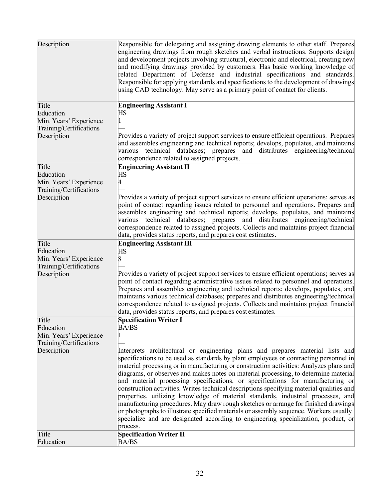| Description                                                                            | Responsible for delegating and assigning drawing elements to other staff. Prepares<br>engineering drawings from rough sketches and verbal instructions. Supports design<br>and development projects involving structural, electronic and electrical, creating new<br>and modifying drawings provided by customers. Has basic working knowledge of<br>related Department of Defense and industrial specifications and standards.<br>Responsible for applying standards and specifications to the development of drawings<br>using CAD technology. May serve as a primary point of contact for clients.                                                                                                                                                                                                                                                                                                                                                        |
|----------------------------------------------------------------------------------------|--------------------------------------------------------------------------------------------------------------------------------------------------------------------------------------------------------------------------------------------------------------------------------------------------------------------------------------------------------------------------------------------------------------------------------------------------------------------------------------------------------------------------------------------------------------------------------------------------------------------------------------------------------------------------------------------------------------------------------------------------------------------------------------------------------------------------------------------------------------------------------------------------------------------------------------------------------------|
| Title<br>Education<br>Min. Years' Experience<br>Training/Certifications<br>Description | <b>Engineering Assistant I</b><br>HS<br>Provides a variety of project support services to ensure efficient operations. Prepares<br>and assembles engineering and technical reports; develops, populates, and maintains<br>various technical databases; prepares and distributes engineering/technical<br>correspondence related to assigned projects.                                                                                                                                                                                                                                                                                                                                                                                                                                                                                                                                                                                                        |
| Title<br>Education<br>Min. Years' Experience<br>Training/Certifications<br>Description | <b>Engineering Assistant II</b><br>HS<br>4<br>Provides a variety of project support services to ensure efficient operations; serves as<br>point of contact regarding issues related to personnel and operations. Prepares and<br>assembles engineering and technical reports; develops, populates, and maintains<br>various technical databases; prepares and distributes engineering/technical<br>correspondence related to assigned projects. Collects and maintains project financial<br>data, provides status reports, and prepares cost estimates.                                                                                                                                                                                                                                                                                                                                                                                                      |
| Title<br>Education<br>Min. Years' Experience<br>Training/Certifications<br>Description | <b>Engineering Assistant III</b><br>HS<br>8<br>Provides a variety of project support services to ensure efficient operations; serves as<br>point of contact regarding administrative issues related to personnel and operations.<br>Prepares and assembles engineering and technical reports; develops, populates, and<br>maintains various technical databases; prepares and distributes engineering/technical<br>correspondence related to assigned projects. Collects and maintains project financial<br>data, provides status reports, and prepares cost estimates.                                                                                                                                                                                                                                                                                                                                                                                      |
| Title<br>Education<br>Min. Years' Experience<br>Training/Certifications<br>Description | <b>Specification Writer I</b><br><b>BA/BS</b><br>Interprets architectural or engineering plans and prepares material lists and<br>specifications to be used as standards by plant employees or contracting personnel in<br>material processing or in manufacturing or construction activities: Analyzes plans and<br>diagrams, or observes and makes notes on material processing, to determine material<br>and material processing specifications, or specifications for manufacturing or<br>construction activities. Writes technical descriptions specifying material qualities and<br>properties, utilizing knowledge of material standards, industrial processes, and<br>manufacturing procedures. May draw rough sketches or arrange for finished drawings<br>or photographs to illustrate specified materials or assembly sequence. Workers usually<br>specialize and are designated according to engineering specialization, product, or<br>process. |
| Title<br>Education                                                                     | <b>Specification Writer II</b><br>BA/BS                                                                                                                                                                                                                                                                                                                                                                                                                                                                                                                                                                                                                                                                                                                                                                                                                                                                                                                      |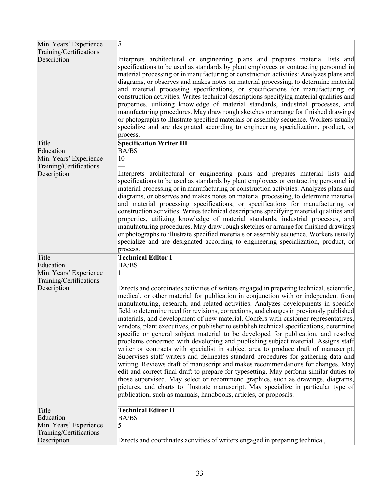| Min. Years' Experience<br>Training/Certifications<br>Description        | 5<br>Interprets architectural or engineering plans and prepares material lists and<br>specifications to be used as standards by plant employees or contracting personnel in<br>material processing or in manufacturing or construction activities: Analyzes plans and<br>diagrams, or observes and makes notes on material processing, to determine material<br>and material processing specifications, or specifications for manufacturing or<br>construction activities. Writes technical descriptions specifying material qualities and<br>properties, utilizing knowledge of material standards, industrial processes, and<br>manufacturing procedures. May draw rough sketches or arrange for finished drawings<br>or photographs to illustrate specified materials or assembly sequence. Workers usually<br>specialize and are designated according to engineering specialization, product, or<br>process.                                                                                                                                                                                                                                                                                                                                                                                                                     |
|-------------------------------------------------------------------------|--------------------------------------------------------------------------------------------------------------------------------------------------------------------------------------------------------------------------------------------------------------------------------------------------------------------------------------------------------------------------------------------------------------------------------------------------------------------------------------------------------------------------------------------------------------------------------------------------------------------------------------------------------------------------------------------------------------------------------------------------------------------------------------------------------------------------------------------------------------------------------------------------------------------------------------------------------------------------------------------------------------------------------------------------------------------------------------------------------------------------------------------------------------------------------------------------------------------------------------------------------------------------------------------------------------------------------------|
| Title<br>Education<br>Min. Years' Experience<br>Training/Certifications | <b>Specification Writer III</b><br><b>BA/BS</b><br>10                                                                                                                                                                                                                                                                                                                                                                                                                                                                                                                                                                                                                                                                                                                                                                                                                                                                                                                                                                                                                                                                                                                                                                                                                                                                                |
| Description                                                             | Interprets architectural or engineering plans and prepares material lists and<br>specifications to be used as standards by plant employees or contracting personnel in<br>material processing or in manufacturing or construction activities: Analyzes plans and<br>diagrams, or observes and makes notes on material processing, to determine material<br>and material processing specifications, or specifications for manufacturing or<br>construction activities. Writes technical descriptions specifying material qualities and<br>properties, utilizing knowledge of material standards, industrial processes, and<br>manufacturing procedures. May draw rough sketches or arrange for finished drawings<br>or photographs to illustrate specified materials or assembly sequence. Workers usually<br>specialize and are designated according to engineering specialization, product, or<br>process.                                                                                                                                                                                                                                                                                                                                                                                                                          |
| Title<br>Education<br>Min. Years' Experience                            | <b>Technical Editor I</b><br>BA/BS                                                                                                                                                                                                                                                                                                                                                                                                                                                                                                                                                                                                                                                                                                                                                                                                                                                                                                                                                                                                                                                                                                                                                                                                                                                                                                   |
| Training/Certifications<br>Description                                  | Directs and coordinates activities of writers engaged in preparing technical, scientific,<br>medical, or other material for publication in conjunction with or independent from<br>manufacturing, research, and related activities: Analyzes developments in specific<br>field to determine need for revisions, corrections, and changes in previously published<br>materials, and development of new material. Confers with customer representatives,<br>vendors, plant executives, or publisher to establish technical specifications, determine<br>specific or general subject material to be developed for publication, and resolve<br>problems concerned with developing and publishing subject material. Assigns staff<br>writer or contracts with specialist in subject area to produce draft of manuscript.<br>Supervises staff writers and delineates standard procedures for gathering data and<br>writing. Reviews draft of manuscript and makes recommendations for changes. May<br>edit and correct final draft to prepare for typesetting. May perform similar duties to<br>those supervised. May select or recommend graphics, such as drawings, diagrams,<br>pictures, and charts to illustrate manuscript. May specialize in particular type of<br>publication, such as manuals, handbooks, articles, or proposals. |
| Title                                                                   | <b>Technical Editor II</b>                                                                                                                                                                                                                                                                                                                                                                                                                                                                                                                                                                                                                                                                                                                                                                                                                                                                                                                                                                                                                                                                                                                                                                                                                                                                                                           |
| Education                                                               | <b>BA/BS</b>                                                                                                                                                                                                                                                                                                                                                                                                                                                                                                                                                                                                                                                                                                                                                                                                                                                                                                                                                                                                                                                                                                                                                                                                                                                                                                                         |
| Min. Years' Experience<br>Training/Certifications<br>Description        | 5<br>Directs and coordinates activities of writers engaged in preparing technical,                                                                                                                                                                                                                                                                                                                                                                                                                                                                                                                                                                                                                                                                                                                                                                                                                                                                                                                                                                                                                                                                                                                                                                                                                                                   |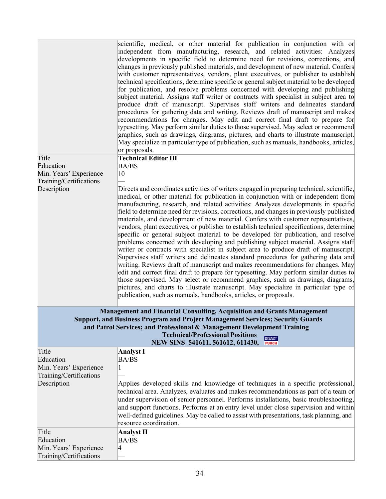| Title<br>Education<br>Min. Years' Experience<br>Training/Certifications<br>Description                                                                                                                                                                                                                                                            | scientific, medical, or other material for publication in conjunction with or<br>independent from manufacturing, research, and related activities: Analyzes<br>developments in specific field to determine need for revisions, corrections, and<br>changes in previously published materials, and development of new material. Confers<br>with customer representatives, vendors, plant executives, or publisher to establish<br>technical specifications, determine specific or general subject material to be developed<br>for publication, and resolve problems concerned with developing and publishing<br>subject material. Assigns staff writer or contracts with specialist in subject area to<br>produce draft of manuscript. Supervises staff writers and delineates standard<br>procedures for gathering data and writing. Reviews draft of manuscript and makes<br>recommendations for changes. May edit and correct final draft to prepare for<br>typesetting. May perform similar duties to those supervised. May select or recommend<br>graphics, such as drawings, diagrams, pictures, and charts to illustrate manuscript.<br>May specialize in particular type of publication, such as manuals, handbooks, articles,<br>or proposals.<br><b>Technical Editor III</b><br><b>BA/BS</b><br>$ 10\rangle$<br>Directs and coordinates activities of writers engaged in preparing technical, scientific,<br>medical, or other material for publication in conjunction with or independent from<br>manufacturing, research, and related activities: Analyzes developments in specific<br>field to determine need for revisions, corrections, and changes in previously published<br>materials, and development of new material. Confers with customer representatives,<br>vendors, plant executives, or publisher to establish technical specifications, determine<br>specific or general subject material to be developed for publication, and resolve<br>problems concerned with developing and publishing subject material. Assigns staff<br>writer or contracts with specialist in subject area to produce draft of manuscript.<br>Supervises staff writers and delineates standard procedures for gathering data and<br>writing. Reviews draft of manuscript and makes recommendations for changes. May<br>edit and correct final draft to prepare for typesetting. May perform similar duties to<br>those supervised. May select or recommend graphics, such as drawings, diagrams,<br>pictures, and charts to illustrate manuscript. May specialize in particular type of<br>publication, such as manuals, handbooks, articles, or proposals. |  |
|---------------------------------------------------------------------------------------------------------------------------------------------------------------------------------------------------------------------------------------------------------------------------------------------------------------------------------------------------|---------------------------------------------------------------------------------------------------------------------------------------------------------------------------------------------------------------------------------------------------------------------------------------------------------------------------------------------------------------------------------------------------------------------------------------------------------------------------------------------------------------------------------------------------------------------------------------------------------------------------------------------------------------------------------------------------------------------------------------------------------------------------------------------------------------------------------------------------------------------------------------------------------------------------------------------------------------------------------------------------------------------------------------------------------------------------------------------------------------------------------------------------------------------------------------------------------------------------------------------------------------------------------------------------------------------------------------------------------------------------------------------------------------------------------------------------------------------------------------------------------------------------------------------------------------------------------------------------------------------------------------------------------------------------------------------------------------------------------------------------------------------------------------------------------------------------------------------------------------------------------------------------------------------------------------------------------------------------------------------------------------------------------------------------------------------------------------------------------------------------------------------------------------------------------------------------------------------------------------------------------------------------------------------------------------------------------------------------------------------------------------------------------------------------------------------------------------------------------------------------------------------------------------------------------------------------------------------------------------------------------------------------------------|--|
| <b>Management and Financial Consulting, Acquisition and Grants Management</b><br><b>Support, and Business Program and Project Management Services; Security Guards</b><br>and Patrol Services; and Professional & Management Development Training<br><b>Technical/Professional Positions</b><br><b>DISAST</b><br>NEW SINS 541611, 561612, 611430, |                                                                                                                                                                                                                                                                                                                                                                                                                                                                                                                                                                                                                                                                                                                                                                                                                                                                                                                                                                                                                                                                                                                                                                                                                                                                                                                                                                                                                                                                                                                                                                                                                                                                                                                                                                                                                                                                                                                                                                                                                                                                                                                                                                                                                                                                                                                                                                                                                                                                                                                                                                                                                                                               |  |
| Title                                                                                                                                                                                                                                                                                                                                             | <b>Analyst I</b>                                                                                                                                                                                                                                                                                                                                                                                                                                                                                                                                                                                                                                                                                                                                                                                                                                                                                                                                                                                                                                                                                                                                                                                                                                                                                                                                                                                                                                                                                                                                                                                                                                                                                                                                                                                                                                                                                                                                                                                                                                                                                                                                                                                                                                                                                                                                                                                                                                                                                                                                                                                                                                              |  |
| Education                                                                                                                                                                                                                                                                                                                                         | <b>BA/BS</b>                                                                                                                                                                                                                                                                                                                                                                                                                                                                                                                                                                                                                                                                                                                                                                                                                                                                                                                                                                                                                                                                                                                                                                                                                                                                                                                                                                                                                                                                                                                                                                                                                                                                                                                                                                                                                                                                                                                                                                                                                                                                                                                                                                                                                                                                                                                                                                                                                                                                                                                                                                                                                                                  |  |
| Min. Years' Experience                                                                                                                                                                                                                                                                                                                            |                                                                                                                                                                                                                                                                                                                                                                                                                                                                                                                                                                                                                                                                                                                                                                                                                                                                                                                                                                                                                                                                                                                                                                                                                                                                                                                                                                                                                                                                                                                                                                                                                                                                                                                                                                                                                                                                                                                                                                                                                                                                                                                                                                                                                                                                                                                                                                                                                                                                                                                                                                                                                                                               |  |
| Training/Certifications                                                                                                                                                                                                                                                                                                                           |                                                                                                                                                                                                                                                                                                                                                                                                                                                                                                                                                                                                                                                                                                                                                                                                                                                                                                                                                                                                                                                                                                                                                                                                                                                                                                                                                                                                                                                                                                                                                                                                                                                                                                                                                                                                                                                                                                                                                                                                                                                                                                                                                                                                                                                                                                                                                                                                                                                                                                                                                                                                                                                               |  |
| Description                                                                                                                                                                                                                                                                                                                                       | Applies developed skills and knowledge of techniques in a specific professional,                                                                                                                                                                                                                                                                                                                                                                                                                                                                                                                                                                                                                                                                                                                                                                                                                                                                                                                                                                                                                                                                                                                                                                                                                                                                                                                                                                                                                                                                                                                                                                                                                                                                                                                                                                                                                                                                                                                                                                                                                                                                                                                                                                                                                                                                                                                                                                                                                                                                                                                                                                              |  |
|                                                                                                                                                                                                                                                                                                                                                   | technical area. Analyzes, evaluates and makes recommendations as part of a team or<br>under supervision of senior personnel. Performs installations, basic troubleshooting,<br>and support functions. Performs at an entry level under close supervision and within<br>well-defined guidelines. May be called to assist with presentations, task planning, and<br>resource coordination.                                                                                                                                                                                                                                                                                                                                                                                                                                                                                                                                                                                                                                                                                                                                                                                                                                                                                                                                                                                                                                                                                                                                                                                                                                                                                                                                                                                                                                                                                                                                                                                                                                                                                                                                                                                                                                                                                                                                                                                                                                                                                                                                                                                                                                                                      |  |
| Title                                                                                                                                                                                                                                                                                                                                             | Analyst II                                                                                                                                                                                                                                                                                                                                                                                                                                                                                                                                                                                                                                                                                                                                                                                                                                                                                                                                                                                                                                                                                                                                                                                                                                                                                                                                                                                                                                                                                                                                                                                                                                                                                                                                                                                                                                                                                                                                                                                                                                                                                                                                                                                                                                                                                                                                                                                                                                                                                                                                                                                                                                                    |  |
| Education                                                                                                                                                                                                                                                                                                                                         | <b>BA/BS</b>                                                                                                                                                                                                                                                                                                                                                                                                                                                                                                                                                                                                                                                                                                                                                                                                                                                                                                                                                                                                                                                                                                                                                                                                                                                                                                                                                                                                                                                                                                                                                                                                                                                                                                                                                                                                                                                                                                                                                                                                                                                                                                                                                                                                                                                                                                                                                                                                                                                                                                                                                                                                                                                  |  |
| Min. Years' Experience                                                                                                                                                                                                                                                                                                                            | 4                                                                                                                                                                                                                                                                                                                                                                                                                                                                                                                                                                                                                                                                                                                                                                                                                                                                                                                                                                                                                                                                                                                                                                                                                                                                                                                                                                                                                                                                                                                                                                                                                                                                                                                                                                                                                                                                                                                                                                                                                                                                                                                                                                                                                                                                                                                                                                                                                                                                                                                                                                                                                                                             |  |
| Training/Certifications                                                                                                                                                                                                                                                                                                                           |                                                                                                                                                                                                                                                                                                                                                                                                                                                                                                                                                                                                                                                                                                                                                                                                                                                                                                                                                                                                                                                                                                                                                                                                                                                                                                                                                                                                                                                                                                                                                                                                                                                                                                                                                                                                                                                                                                                                                                                                                                                                                                                                                                                                                                                                                                                                                                                                                                                                                                                                                                                                                                                               |  |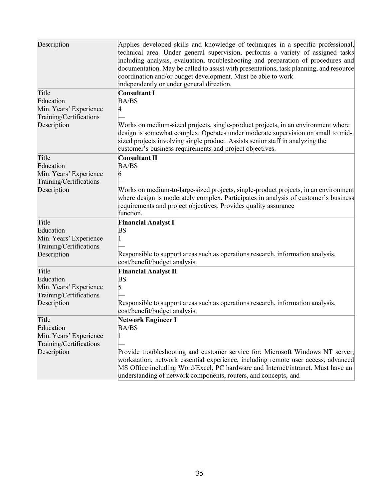| Description             | Applies developed skills and knowledge of techniques in a specific professional,<br>technical area. Under general supervision, performs a variety of assigned tasks<br>including analysis, evaluation, troubleshooting and preparation of procedures and<br>documentation. May be called to assist with presentations, task planning, and resource<br>coordination and/or budget development. Must be able to work<br>independently or under general direction. |
|-------------------------|-----------------------------------------------------------------------------------------------------------------------------------------------------------------------------------------------------------------------------------------------------------------------------------------------------------------------------------------------------------------------------------------------------------------------------------------------------------------|
| Title                   | <b>Consultant I</b>                                                                                                                                                                                                                                                                                                                                                                                                                                             |
| Education               | <b>BA/BS</b>                                                                                                                                                                                                                                                                                                                                                                                                                                                    |
| Min. Years' Experience  | 4                                                                                                                                                                                                                                                                                                                                                                                                                                                               |
| Training/Certifications |                                                                                                                                                                                                                                                                                                                                                                                                                                                                 |
| Description             | Works on medium-sized projects, single-product projects, in an environment where                                                                                                                                                                                                                                                                                                                                                                                |
|                         | design is somewhat complex. Operates under moderate supervision on small to mid-                                                                                                                                                                                                                                                                                                                                                                                |
|                         | sized projects involving single product. Assists senior staff in analyzing the                                                                                                                                                                                                                                                                                                                                                                                  |
|                         | customer's business requirements and project objectives.                                                                                                                                                                                                                                                                                                                                                                                                        |
| Title                   | <b>Consultant II</b>                                                                                                                                                                                                                                                                                                                                                                                                                                            |
| Education               | <b>BA/BS</b>                                                                                                                                                                                                                                                                                                                                                                                                                                                    |
| Min. Years' Experience  | 6                                                                                                                                                                                                                                                                                                                                                                                                                                                               |
| Training/Certifications |                                                                                                                                                                                                                                                                                                                                                                                                                                                                 |
| Description             | Works on medium-to-large-sized projects, single-product projects, in an environment                                                                                                                                                                                                                                                                                                                                                                             |
|                         | where design is moderately complex. Participates in analysis of customer's business                                                                                                                                                                                                                                                                                                                                                                             |
|                         | requirements and project objectives. Provides quality assurance                                                                                                                                                                                                                                                                                                                                                                                                 |
|                         | function.                                                                                                                                                                                                                                                                                                                                                                                                                                                       |
| Title                   | <b>Financial Analyst I</b>                                                                                                                                                                                                                                                                                                                                                                                                                                      |
| Education               | BS                                                                                                                                                                                                                                                                                                                                                                                                                                                              |
| Min. Years' Experience  |                                                                                                                                                                                                                                                                                                                                                                                                                                                                 |
| Training/Certifications |                                                                                                                                                                                                                                                                                                                                                                                                                                                                 |
| Description             | Responsible to support areas such as operations research, information analysis,                                                                                                                                                                                                                                                                                                                                                                                 |
|                         | cost/benefit/budget analysis.                                                                                                                                                                                                                                                                                                                                                                                                                                   |
| Title                   | <b>Financial Analyst II</b>                                                                                                                                                                                                                                                                                                                                                                                                                                     |
| Education               | BS                                                                                                                                                                                                                                                                                                                                                                                                                                                              |
| Min. Years' Experience  | 5                                                                                                                                                                                                                                                                                                                                                                                                                                                               |
| Training/Certifications |                                                                                                                                                                                                                                                                                                                                                                                                                                                                 |
| Description             | Responsible to support areas such as operations research, information analysis,                                                                                                                                                                                                                                                                                                                                                                                 |
|                         | cost/benefit/budget analysis.                                                                                                                                                                                                                                                                                                                                                                                                                                   |
| Title                   | <b>Network Engineer I</b>                                                                                                                                                                                                                                                                                                                                                                                                                                       |
| Education               | <b>BA/BS</b>                                                                                                                                                                                                                                                                                                                                                                                                                                                    |
| Min. Years' Experience  |                                                                                                                                                                                                                                                                                                                                                                                                                                                                 |
| Training/Certifications |                                                                                                                                                                                                                                                                                                                                                                                                                                                                 |
| Description             | Provide troubleshooting and customer service for: Microsoft Windows NT server,                                                                                                                                                                                                                                                                                                                                                                                  |
|                         | workstation, network essential experience, including remote user access, advanced                                                                                                                                                                                                                                                                                                                                                                               |
|                         | MS Office including Word/Excel, PC hardware and Internet/intranet. Must have an                                                                                                                                                                                                                                                                                                                                                                                 |
|                         | understanding of network components, routers, and concepts, and                                                                                                                                                                                                                                                                                                                                                                                                 |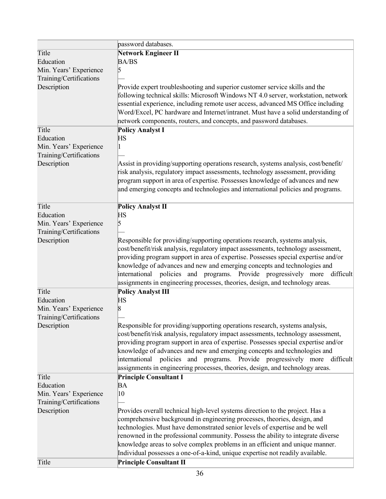|                         | password databases.                                                                                                                                                                                                                                                                                                                                                                                                                                                                                 |
|-------------------------|-----------------------------------------------------------------------------------------------------------------------------------------------------------------------------------------------------------------------------------------------------------------------------------------------------------------------------------------------------------------------------------------------------------------------------------------------------------------------------------------------------|
| Title                   | <b>Network Engineer II</b>                                                                                                                                                                                                                                                                                                                                                                                                                                                                          |
| Education               | <b>BA/BS</b>                                                                                                                                                                                                                                                                                                                                                                                                                                                                                        |
| Min. Years' Experience  | 5                                                                                                                                                                                                                                                                                                                                                                                                                                                                                                   |
| Training/Certifications |                                                                                                                                                                                                                                                                                                                                                                                                                                                                                                     |
| Description             | Provide expert troubleshooting and superior customer service skills and the<br>following technical skills: Microsoft Windows NT 4.0 server, workstation, network<br>essential experience, including remote user access, advanced MS Office including<br>Word/Excel, PC hardware and Internet/intranet. Must have a solid understanding of<br>network components, routers, and concepts, and password databases.                                                                                     |
| Title                   | <b>Policy Analyst I</b>                                                                                                                                                                                                                                                                                                                                                                                                                                                                             |
| Education               | HS                                                                                                                                                                                                                                                                                                                                                                                                                                                                                                  |
| Min. Years' Experience  |                                                                                                                                                                                                                                                                                                                                                                                                                                                                                                     |
| Training/Certifications |                                                                                                                                                                                                                                                                                                                                                                                                                                                                                                     |
| Description             | Assist in providing/supporting operations research, systems analysis, cost/benefit/<br>risk analysis, regulatory impact assessments, technology assessment, providing<br>program support in area of expertise. Possesses knowledge of advances and new<br>and emerging concepts and technologies and international policies and programs.                                                                                                                                                           |
| Title                   | <b>Policy Analyst II</b>                                                                                                                                                                                                                                                                                                                                                                                                                                                                            |
| Education               | HS                                                                                                                                                                                                                                                                                                                                                                                                                                                                                                  |
| Min. Years' Experience  | 5                                                                                                                                                                                                                                                                                                                                                                                                                                                                                                   |
| Training/Certifications |                                                                                                                                                                                                                                                                                                                                                                                                                                                                                                     |
| Description             | Responsible for providing/supporting operations research, systems analysis,<br>cost/benefit/risk analysis, regulatory impact assessments, technology assessment,<br>providing program support in area of expertise. Possesses special expertise and/or<br>knowledge of advances and new and emerging concepts and technologies and<br>policies and programs. Provide progressively more difficult<br>international<br>assignments in engineering processes, theories, design, and technology areas. |
| Title                   | <b>Policy Analyst III</b>                                                                                                                                                                                                                                                                                                                                                                                                                                                                           |
| Education               | <b>HS</b>                                                                                                                                                                                                                                                                                                                                                                                                                                                                                           |
| Min. Years' Experience  | 8                                                                                                                                                                                                                                                                                                                                                                                                                                                                                                   |
| Training/Certifications |                                                                                                                                                                                                                                                                                                                                                                                                                                                                                                     |
| Description             | Responsible for providing/supporting operations research, systems analysis,<br>cost/benefit/risk analysis, regulatory impact assessments, technology assessment,<br>providing program support in area of expertise. Possesses special expertise and/or<br>knowledge of advances and new and emerging concepts and technologies and<br>international policies and programs. Provide progressively more difficult<br>assignments in engineering processes, theories, design, and technology areas.    |
| Title                   | <b>Principle Consultant I</b>                                                                                                                                                                                                                                                                                                                                                                                                                                                                       |
| Education               | BA                                                                                                                                                                                                                                                                                                                                                                                                                                                                                                  |
| Min. Years' Experience  | 10                                                                                                                                                                                                                                                                                                                                                                                                                                                                                                  |
| Training/Certifications |                                                                                                                                                                                                                                                                                                                                                                                                                                                                                                     |
| Description             | Provides overall technical high-level systems direction to the project. Has a                                                                                                                                                                                                                                                                                                                                                                                                                       |
|                         | comprehensive background in engineering processes, theories, design, and<br>technologies. Must have demonstrated senior levels of expertise and be well                                                                                                                                                                                                                                                                                                                                             |
|                         | renowned in the professional community. Possess the ability to integrate diverse                                                                                                                                                                                                                                                                                                                                                                                                                    |
|                         | knowledge areas to solve complex problems in an efficient and unique manner.                                                                                                                                                                                                                                                                                                                                                                                                                        |
|                         | Individual possesses a one-of-a-kind, unique expertise not readily available.                                                                                                                                                                                                                                                                                                                                                                                                                       |
| Title                   | <b>Principle Consultant II</b>                                                                                                                                                                                                                                                                                                                                                                                                                                                                      |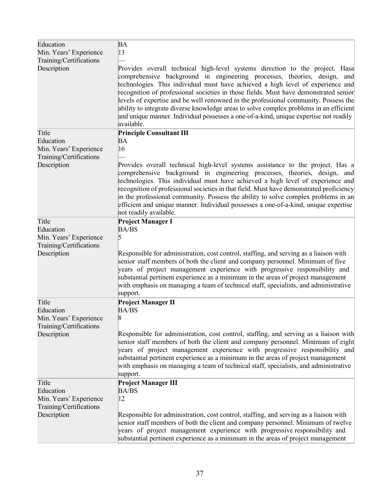| Education<br>Min. Years' Experience<br>Training/Certifications          | ΒA<br>13                                                                                                                                                                                                                                                                                                                                                                                                                                                                                                                                                                                                                    |
|-------------------------------------------------------------------------|-----------------------------------------------------------------------------------------------------------------------------------------------------------------------------------------------------------------------------------------------------------------------------------------------------------------------------------------------------------------------------------------------------------------------------------------------------------------------------------------------------------------------------------------------------------------------------------------------------------------------------|
| Description                                                             | Provides overall technical high-level systems direction to the project. Hasa<br>comprehensive background in engineering processes, theories, design, and<br>technologies. This individual must have achieved a high level of experience and<br>recognition of professional societies in those fields. Must have demonstrated senior<br>levels of expertise and be well renowned in the professional community. Possess the<br>ability to integrate diverse knowledge areas to solve complex problems in an efficient<br>and unique manner. Individual possesses a one-of-a-kind, unique expertise not readily<br>available. |
| Title                                                                   | <b>Principle Consultant III</b>                                                                                                                                                                                                                                                                                                                                                                                                                                                                                                                                                                                             |
| Education                                                               | BA<br>16                                                                                                                                                                                                                                                                                                                                                                                                                                                                                                                                                                                                                    |
| Min. Years' Experience<br>Training/Certifications                       |                                                                                                                                                                                                                                                                                                                                                                                                                                                                                                                                                                                                                             |
| Description                                                             | Provides overall technical high-level systems assistance to the project. Has a<br>comprehensive background in engineering processes, theories, design, and<br>technologies. This individual must have achieved a high level of experience and<br>recognition of professional societies in that field. Must have demonstrated proficiency<br>in the professional community. Possess the ability to solve complex problems in an<br>efficient and unique manner. Individual possesses a one-of-a-kind, unique expertise<br>not readily available.                                                                             |
| Title                                                                   | <b>Project Manager I</b>                                                                                                                                                                                                                                                                                                                                                                                                                                                                                                                                                                                                    |
| Education<br>Min. Years' Experience<br>Training/Certifications          | <b>BA/BS</b><br>5                                                                                                                                                                                                                                                                                                                                                                                                                                                                                                                                                                                                           |
| Description                                                             | Responsible for administration, cost control, staffing, and serving as a liaison with<br>senior staff members of both the client and company personnel. Minimum of five<br>years of project management experience with progressive responsibility and<br>substantial pertinent experience as a minimum in the areas of project management<br>with emphasis on managing a team of technical staff, specialists, and administrative<br>support.                                                                                                                                                                               |
| Title                                                                   | <b>Project Manager II</b>                                                                                                                                                                                                                                                                                                                                                                                                                                                                                                                                                                                                   |
| Education                                                               | <b>BA/BS</b>                                                                                                                                                                                                                                                                                                                                                                                                                                                                                                                                                                                                                |
| Min. Years' Experience<br>Training/Certifications                       | 8                                                                                                                                                                                                                                                                                                                                                                                                                                                                                                                                                                                                                           |
| Description                                                             | Responsible for administration, cost control, staffing, and serving as a liaison with<br>senior staff members of both the client and company personnel. Minimum of eight<br>years of project management experience with progressive responsibility and<br>substantial pertinent experience as a minimum in the areas of project management<br>with emphasis on managing a team of technical staff, specialists, and administrative<br>support.                                                                                                                                                                              |
| Title<br>Education<br>Min. Years' Experience<br>Training/Certifications | <b>Project Manager III</b><br><b>BA/BS</b><br>12                                                                                                                                                                                                                                                                                                                                                                                                                                                                                                                                                                            |
| Description                                                             | Responsible for administration, cost control, staffing, and serving as a liaison with<br>senior staff members of both the client and company personnel. Minimum of twelve<br>years of project management experience with progressive responsibility and<br>substantial pertinent experience as a minimum in the areas of project management                                                                                                                                                                                                                                                                                 |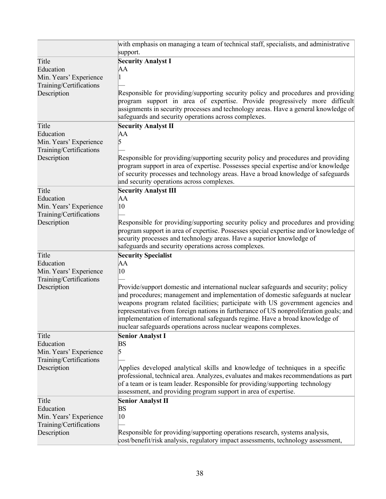|                                        | with emphasis on managing a team of technical staff, specialists, and administrative<br>support.                                                                           |
|----------------------------------------|----------------------------------------------------------------------------------------------------------------------------------------------------------------------------|
| Title                                  | <b>Security Analyst I</b>                                                                                                                                                  |
| Education                              | AΑ                                                                                                                                                                         |
| Min. Years' Experience                 |                                                                                                                                                                            |
| Training/Certifications                |                                                                                                                                                                            |
| Description                            | Responsible for providing/supporting security policy and procedures and providing<br>program support in area of expertise. Provide progressively more difficult            |
|                                        | assignments in security processes and technology areas. Have a general knowledge of<br>safeguards and security operations across complexes.                                |
| Title                                  | <b>Security Analyst II</b>                                                                                                                                                 |
| Education                              | AА                                                                                                                                                                         |
| Min. Years' Experience                 | 5                                                                                                                                                                          |
| Training/Certifications                |                                                                                                                                                                            |
| Description                            | Responsible for providing/supporting security policy and procedures and providing                                                                                          |
|                                        | program support in area of expertise. Possesses special expertise and/or knowledge                                                                                         |
|                                        | of security processes and technology areas. Have a broad knowledge of safeguards                                                                                           |
|                                        | and security operations across complexes.                                                                                                                                  |
| Title                                  | <b>Security Analyst III</b>                                                                                                                                                |
| Education                              | AΑ                                                                                                                                                                         |
| Min. Years' Experience                 | $ 10\rangle$                                                                                                                                                               |
| Training/Certifications                |                                                                                                                                                                            |
| Description                            | Responsible for providing/supporting security policy and procedures and providing<br>program support in area of expertise. Possesses special expertise and/or knowledge of |
|                                        | security processes and technology areas. Have a superior knowledge of                                                                                                      |
|                                        | safeguards and security operations across complexes.                                                                                                                       |
| Title                                  | <b>Security Specialist</b>                                                                                                                                                 |
| Education                              | ΙAΑ                                                                                                                                                                        |
| Min. Years' Experience                 | $ 10\rangle$                                                                                                                                                               |
| Training/Certifications                |                                                                                                                                                                            |
| Description                            | Provide/support domestic and international nuclear safeguards and security; policy                                                                                         |
|                                        | and procedures; management and implementation of domestic safeguards at nuclear                                                                                            |
|                                        | weapons program related facilities; participate with US government agencies and                                                                                            |
|                                        | representatives from foreign nations in furtherance of US nonproliferation goals; and                                                                                      |
|                                        | implementation of international safeguards regime. Have a broad knowledge of                                                                                               |
|                                        | nuclear safeguards operations across nuclear weapons complexes.                                                                                                            |
| Title                                  | <b>Senior Analyst I</b>                                                                                                                                                    |
| Education                              | BS                                                                                                                                                                         |
| Min. Years' Experience                 | 5                                                                                                                                                                          |
| Training/Certifications<br>Description | Applies developed analytical skills and knowledge of techniques in a specific                                                                                              |
|                                        | professional, technical area. Analyzes, evaluates and makes recommendations as part                                                                                        |
|                                        | of a team or is team leader. Responsible for providing/supporting technology                                                                                               |
|                                        | assessment, and providing program support in area of expertise.                                                                                                            |
| Title                                  | <b>Senior Analyst II</b>                                                                                                                                                   |
| Education                              | BS                                                                                                                                                                         |
| Min. Years' Experience                 | 10                                                                                                                                                                         |
| Training/Certifications                |                                                                                                                                                                            |
| Description                            | Responsible for providing/supporting operations research, systems analysis,                                                                                                |
|                                        | cost/benefit/risk analysis, regulatory impact assessments, technology assessment,                                                                                          |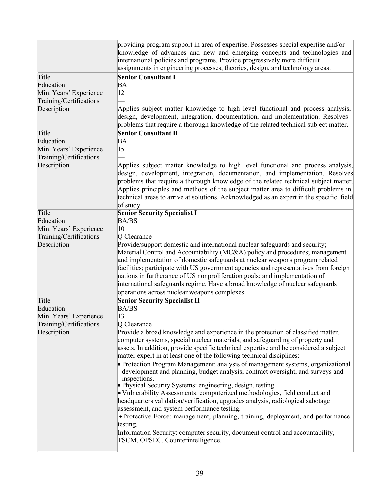|                                                                                        | providing program support in area of expertise. Possesses special expertise and/or<br>knowledge of advances and new and emerging concepts and technologies and<br>international policies and programs. Provide progressively more difficult<br>assignments in engineering processes, theories, design, and technology areas.                                                                                                                                                                                                                                                                                                                                                                                                                                                                                                                                                                                                                                                                                                                                                                            |
|----------------------------------------------------------------------------------------|---------------------------------------------------------------------------------------------------------------------------------------------------------------------------------------------------------------------------------------------------------------------------------------------------------------------------------------------------------------------------------------------------------------------------------------------------------------------------------------------------------------------------------------------------------------------------------------------------------------------------------------------------------------------------------------------------------------------------------------------------------------------------------------------------------------------------------------------------------------------------------------------------------------------------------------------------------------------------------------------------------------------------------------------------------------------------------------------------------|
| Title<br>Education<br>Min. Years' Experience<br>Training/Certifications<br>Description | <b>Senior Consultant I</b><br>BA<br>12<br>Applies subject matter knowledge to high level functional and process analysis,                                                                                                                                                                                                                                                                                                                                                                                                                                                                                                                                                                                                                                                                                                                                                                                                                                                                                                                                                                               |
| Title<br>Education                                                                     | design, development, integration, documentation, and implementation. Resolves<br>problems that require a thorough knowledge of the related technical subject matter.<br><b>Senior Consultant II</b><br>BA                                                                                                                                                                                                                                                                                                                                                                                                                                                                                                                                                                                                                                                                                                                                                                                                                                                                                               |
| Min. Years' Experience<br>Training/Certifications                                      | $\vert$ 15                                                                                                                                                                                                                                                                                                                                                                                                                                                                                                                                                                                                                                                                                                                                                                                                                                                                                                                                                                                                                                                                                              |
| Description                                                                            | Applies subject matter knowledge to high level functional and process analysis,<br>design, development, integration, documentation, and implementation. Resolves<br>problems that require a thorough knowledge of the related technical subject matter.<br>Applies principles and methods of the subject matter area to difficult problems in<br>technical areas to arrive at solutions. Acknowledged as an expert in the specific field<br>of study.                                                                                                                                                                                                                                                                                                                                                                                                                                                                                                                                                                                                                                                   |
| Title<br>Education<br>Min. Years' Experience<br>Training/Certifications<br>Description | <b>Senior Security Specialist I</b><br><b>BA/BS</b><br>$ 10\rangle$<br>Q Clearance<br>Provide/support domestic and international nuclear safeguards and security;<br>Material Control and Accountability (MC&A) policy and procedures; management<br>and implementation of domestic safeguards at nuclear weapons program related<br>facilities; participate with US government agencies and representatives from foreign<br>nations in furtherance of US nonproliferation goals; and implementation of<br>international safeguards regime. Have a broad knowledge of nuclear safeguards<br>operations across nuclear weapons complexes.                                                                                                                                                                                                                                                                                                                                                                                                                                                                |
| Title<br>Education<br>Min. Years' Experience<br>Training/Certifications<br>Description | <b>Senior Security Specialist II</b><br><b>BA/BS</b><br>13<br>Q Clearance<br>Provide a broad knowledge and experience in the protection of classified matter,<br>computer systems, special nuclear materials, and safeguarding of property and<br>assets. In addition, provide specific technical expertise and be considered a subject<br>matter expert in at least one of the following technical disciplines:<br>• Protection Program Management: analysis of management systems, organizational<br>development and planning, budget analysis, contract oversight, and surveys and<br>inspections.<br>• Physical Security Systems: engineering, design, testing.<br>• Vulnerability Assessments: computerized methodologies, field conduct and<br>headquarters validation/verification, upgrades analysis, radiological sabotage<br>assessment, and system performance testing.<br>· Protective Force: management, planning, training, deployment, and performance<br>testing.<br>Information Security: computer security, document control and accountability,<br>TSCM, OPSEC, Counterintelligence. |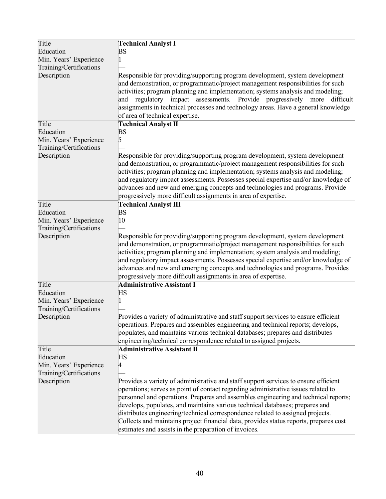| Title                                             | <b>Technical Analyst I</b>                                                                                                                                                                                                                                                                                                                                                                                                                                                                  |
|---------------------------------------------------|---------------------------------------------------------------------------------------------------------------------------------------------------------------------------------------------------------------------------------------------------------------------------------------------------------------------------------------------------------------------------------------------------------------------------------------------------------------------------------------------|
| Education                                         | BS                                                                                                                                                                                                                                                                                                                                                                                                                                                                                          |
| Min. Years' Experience                            |                                                                                                                                                                                                                                                                                                                                                                                                                                                                                             |
| Training/Certifications                           |                                                                                                                                                                                                                                                                                                                                                                                                                                                                                             |
| Description                                       | Responsible for providing/supporting program development, system development<br>and demonstration, or programmatic/project management responsibilities for such<br>activities; program planning and implementation; systems analysis and modeling;<br>regulatory impact assessments.<br>Provide progressively more<br>difficult<br>and<br>assignments in technical processes and technology areas. Have a general knowledge<br>of area of technical expertise.                              |
| Title                                             | <b>Technical Analyst II</b>                                                                                                                                                                                                                                                                                                                                                                                                                                                                 |
| Education                                         | BS                                                                                                                                                                                                                                                                                                                                                                                                                                                                                          |
| Min. Years' Experience                            | 5                                                                                                                                                                                                                                                                                                                                                                                                                                                                                           |
| Training/Certifications                           |                                                                                                                                                                                                                                                                                                                                                                                                                                                                                             |
| Description                                       | Responsible for providing/supporting program development, system development<br>and demonstration, or programmatic/project management responsibilities for such<br>activities; program planning and implementation; systems analysis and modeling;<br>and regulatory impact assessments. Possesses special expertise and/or knowledge of<br>advances and new and emerging concepts and technologies and programs. Provide<br>progressively more difficult assignments in area of expertise. |
| Title                                             | <b>Technical Analyst III</b>                                                                                                                                                                                                                                                                                                                                                                                                                                                                |
| Education                                         | BS                                                                                                                                                                                                                                                                                                                                                                                                                                                                                          |
| Min. Years' Experience                            | 10                                                                                                                                                                                                                                                                                                                                                                                                                                                                                          |
| Training/Certifications                           |                                                                                                                                                                                                                                                                                                                                                                                                                                                                                             |
| Description                                       | Responsible for providing/supporting program development, system development<br>and demonstration, or programmatic/project management responsibilities for such<br>activities; program planning and implementation; system analysis and modeling;<br>and regulatory impact assessments. Possesses special expertise and/or knowledge of<br>advances and new and emerging concepts and technologies and programs. Provides<br>progressively more difficult assignments in area of expertise. |
| Title                                             | <b>Administrative Assistant I</b>                                                                                                                                                                                                                                                                                                                                                                                                                                                           |
| Education                                         | HS                                                                                                                                                                                                                                                                                                                                                                                                                                                                                          |
| Min. Years' Experience                            |                                                                                                                                                                                                                                                                                                                                                                                                                                                                                             |
| Training/Certifications                           |                                                                                                                                                                                                                                                                                                                                                                                                                                                                                             |
| Description                                       | Provides a variety of administrative and staff support services to ensure efficient                                                                                                                                                                                                                                                                                                                                                                                                         |
|                                                   | operations. Prepares and assembles engineering and technical reports; develops,                                                                                                                                                                                                                                                                                                                                                                                                             |
|                                                   | populates, and maintains various technical databases; prepares and distributes                                                                                                                                                                                                                                                                                                                                                                                                              |
|                                                   | engineering/technical correspondence related to assigned projects.                                                                                                                                                                                                                                                                                                                                                                                                                          |
| Title                                             | <b>Administrative Assistant II</b>                                                                                                                                                                                                                                                                                                                                                                                                                                                          |
| Education                                         | HS                                                                                                                                                                                                                                                                                                                                                                                                                                                                                          |
| Min. Years' Experience<br>Training/Certifications | 4                                                                                                                                                                                                                                                                                                                                                                                                                                                                                           |
| Description                                       | Provides a variety of administrative and staff support services to ensure efficient                                                                                                                                                                                                                                                                                                                                                                                                         |
|                                                   | operations; serves as point of contact regarding administrative issues related to                                                                                                                                                                                                                                                                                                                                                                                                           |
|                                                   | personnel and operations. Prepares and assembles engineering and technical reports;                                                                                                                                                                                                                                                                                                                                                                                                         |
|                                                   | develops, populates, and maintains various technical databases; prepares and                                                                                                                                                                                                                                                                                                                                                                                                                |
|                                                   | distributes engineering/technical correspondence related to assigned projects.                                                                                                                                                                                                                                                                                                                                                                                                              |
|                                                   | Collects and maintains project financial data, provides status reports, prepares cost                                                                                                                                                                                                                                                                                                                                                                                                       |
|                                                   | estimates and assists in the preparation of invoices.                                                                                                                                                                                                                                                                                                                                                                                                                                       |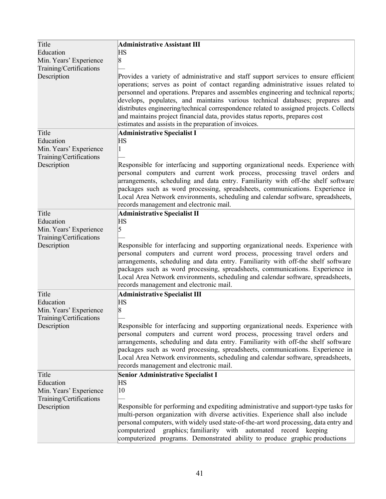| Title                   | <b>Administrative Assistant III</b>                                                                                                                                                                                                                                                                                                                                                                                                                                                                                                                                                 |
|-------------------------|-------------------------------------------------------------------------------------------------------------------------------------------------------------------------------------------------------------------------------------------------------------------------------------------------------------------------------------------------------------------------------------------------------------------------------------------------------------------------------------------------------------------------------------------------------------------------------------|
| Education               | HS                                                                                                                                                                                                                                                                                                                                                                                                                                                                                                                                                                                  |
| Min. Years' Experience  | 8                                                                                                                                                                                                                                                                                                                                                                                                                                                                                                                                                                                   |
| Training/Certifications |                                                                                                                                                                                                                                                                                                                                                                                                                                                                                                                                                                                     |
| Description             | Provides a variety of administrative and staff support services to ensure efficient<br>operations; serves as point of contact regarding administrative issues related to<br>personnel and operations. Prepares and assembles engineering and technical reports;<br>develops, populates, and maintains various technical databases; prepares and<br>distributes engineering/technical correspondence related to assigned projects. Collects<br>and maintains project financial data, provides status reports, prepares cost<br>estimates and assists in the preparation of invoices. |
| Title                   | <b>Administrative Specialist I</b>                                                                                                                                                                                                                                                                                                                                                                                                                                                                                                                                                  |
| Education               | <b>HS</b>                                                                                                                                                                                                                                                                                                                                                                                                                                                                                                                                                                           |
| Min. Years' Experience  |                                                                                                                                                                                                                                                                                                                                                                                                                                                                                                                                                                                     |
| Training/Certifications |                                                                                                                                                                                                                                                                                                                                                                                                                                                                                                                                                                                     |
| Description             | Responsible for interfacing and supporting organizational needs. Experience with<br>personal computers and current work process, processing travel orders and<br>arrangements, scheduling and data entry. Familiarity with off-the shelf software<br>packages such as word processing, spreadsheets, communications. Experience in<br>Local Area Network environments, scheduling and calendar software, spreadsheets,<br>records management and electronic mail.                                                                                                                   |
| Title                   | <b>Administrative Specialist II</b>                                                                                                                                                                                                                                                                                                                                                                                                                                                                                                                                                 |
| Education               | HS                                                                                                                                                                                                                                                                                                                                                                                                                                                                                                                                                                                  |
| Min. Years' Experience  | 5                                                                                                                                                                                                                                                                                                                                                                                                                                                                                                                                                                                   |
| Training/Certifications |                                                                                                                                                                                                                                                                                                                                                                                                                                                                                                                                                                                     |
| Description             | Responsible for interfacing and supporting organizational needs. Experience with<br>personal computers and current word process, processing travel orders and<br>arrangements, scheduling and data entry. Familiarity with off-the shelf software<br>packages such as word processing, spreadsheets, communications. Experience in<br>Local Area Network environments, scheduling and calendar software, spreadsheets,<br>records management and electronic mail.                                                                                                                   |
| Title                   | <b>Administrative Specialist III</b>                                                                                                                                                                                                                                                                                                                                                                                                                                                                                                                                                |
| Education               | <b>HS</b>                                                                                                                                                                                                                                                                                                                                                                                                                                                                                                                                                                           |
| Min. Years' Experience  | 8                                                                                                                                                                                                                                                                                                                                                                                                                                                                                                                                                                                   |
| Training/Certifications |                                                                                                                                                                                                                                                                                                                                                                                                                                                                                                                                                                                     |
| Description             | Responsible for interfacing and supporting organizational needs. Experience with<br>personal computers and current word process, processing travel orders and<br>arrangements, scheduling and data entry. Familiarity with off-the shelf software<br>packages such as word processing, spreadsheets, communications. Experience in<br>Local Area Network environments, scheduling and calendar software, spreadsheets,<br>records management and electronic mail.                                                                                                                   |
| Title                   | <b>Senior Administrative Specialist I</b>                                                                                                                                                                                                                                                                                                                                                                                                                                                                                                                                           |
| Education               | HS                                                                                                                                                                                                                                                                                                                                                                                                                                                                                                                                                                                  |
| Min. Years' Experience  | 10                                                                                                                                                                                                                                                                                                                                                                                                                                                                                                                                                                                  |
| Training/Certifications |                                                                                                                                                                                                                                                                                                                                                                                                                                                                                                                                                                                     |
| Description             | Responsible for performing and expediting administrative and support-type tasks for<br>multi-person organization with diverse activities. Experience shall also include<br>personal computers, with widely used state-of-the-art word processing, data entry and<br>graphics; familiarity with automated record keeping<br>computerized<br>computerized programs. Demonstrated ability to produce graphic productions                                                                                                                                                               |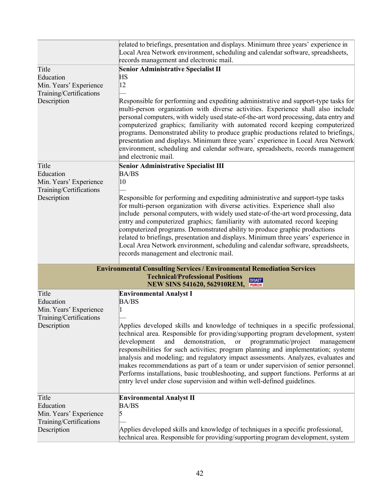|                                                                                        | related to briefings, presentation and displays. Minimum three years' experience in<br>Local Area Network environment, scheduling and calendar software, spreadsheets,<br>records management and electronic mail.                                                                                                                                                                                                                                                                                                                                                                                                                                                                                                                                        |
|----------------------------------------------------------------------------------------|----------------------------------------------------------------------------------------------------------------------------------------------------------------------------------------------------------------------------------------------------------------------------------------------------------------------------------------------------------------------------------------------------------------------------------------------------------------------------------------------------------------------------------------------------------------------------------------------------------------------------------------------------------------------------------------------------------------------------------------------------------|
| Title<br>Education<br>Min. Years' Experience<br>Training/Certifications<br>Description | Senior Administrative Specialist II<br>ΗS<br>12<br>Responsible for performing and expediting administrative and support-type tasks for<br>multi-person organization with diverse activities. Experience shall also include<br>personal computers, with widely used state-of-the-art word processing, data entry and<br>computerized graphics; familiarity with automated record keeping computerized<br>programs. Demonstrated ability to produce graphic productions related to briefings,<br>presentation and displays. Minimum three years' experience in Local Area Network<br>environment, scheduling and calendar software, spreadsheets, records management<br>and electronic mail.                                                               |
| Title<br>Education<br>Min. Years' Experience<br>Training/Certifications<br>Description | Senior Administrative Specialist III<br><b>BA/BS</b><br>$ 10\rangle$<br>Responsible for performing and expediting administrative and support-type tasks<br>for multi-person organization with diverse activities. Experience shall also<br>include personal computers, with widely used state-of-the-art word processing, data<br>entry and computerized graphics; familiarity with automated record keeping<br>computerized programs. Demonstrated ability to produce graphic productions<br>related to briefings, presentation and displays. Minimum three years' experience in<br>Local Area Network environment, scheduling and calendar software, spreadsheets,<br>records management and electronic mail.                                          |
|                                                                                        | <b>Environmental Consulting Services / Environmental Remediation Services</b><br><b>Technical/Professional Positions</b><br><b>DISAST</b><br>NEW SINS 541620, 562910REM, PURCH                                                                                                                                                                                                                                                                                                                                                                                                                                                                                                                                                                           |
| Title<br>Education<br>Min. Years' Experience<br>Training/Certifications<br>Description | <b>Environmental Analyst I</b><br><b>BA/BS</b><br>1<br>Applies developed skills and knowledge of techniques in a specific professional<br>technical area. Responsible for providing/supporting program development, system<br>demonstration,<br>development<br>and<br><b>or</b><br>programmatic/project<br>management<br>responsibilities for such activities; program planning and implementation; systems<br>analysis and modeling; and regulatory impact assessments. Analyzes, evaluates and<br>makes recommendations as part of a team or under supervision of senior personnel.<br>Performs installations, basic troubleshooting, and support functions. Performs at an<br>entry level under close supervision and within well-defined guidelines. |
| Title<br>Education<br>Min. Years' Experience<br>Training/Certifications<br>Description | <b>Environmental Analyst II</b><br><b>BA/BS</b><br>5<br>Applies developed skills and knowledge of techniques in a specific professional,<br>technical area. Responsible for providing/supporting program development, system                                                                                                                                                                                                                                                                                                                                                                                                                                                                                                                             |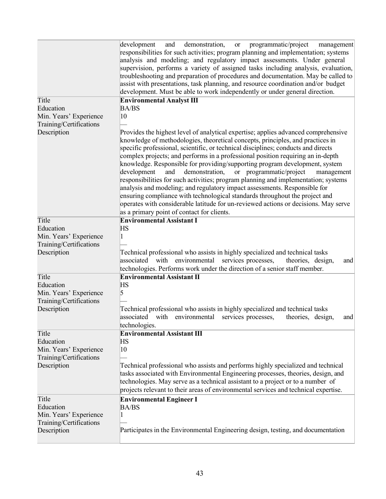|                                                                                        | development<br>demonstration,<br>programmatic/project<br>and<br><b>or</b><br>management<br>responsibilities for such activities; program planning and implementation; systems<br>analysis and modeling; and regulatory impact assessments. Under general<br>supervision, performs a variety of assigned tasks including analysis, evaluation,<br>troubleshooting and preparation of procedures and documentation. May be called to<br>assist with presentations, task planning, and resource coordination and/or budget<br>development. Must be able to work independently or under general direction.                                                                                                                                                                                                                                                                                                                                                     |
|----------------------------------------------------------------------------------------|------------------------------------------------------------------------------------------------------------------------------------------------------------------------------------------------------------------------------------------------------------------------------------------------------------------------------------------------------------------------------------------------------------------------------------------------------------------------------------------------------------------------------------------------------------------------------------------------------------------------------------------------------------------------------------------------------------------------------------------------------------------------------------------------------------------------------------------------------------------------------------------------------------------------------------------------------------|
| Title<br>Education<br>Min. Years' Experience<br>Training/Certifications<br>Description | <b>Environmental Analyst III</b><br><b>BA/BS</b><br>10<br>Provides the highest level of analytical expertise; applies advanced comprehensive<br>knowledge of methodologies, theoretical concepts, principles, and practices in<br>specific professional, scientific, or technical disciplines; conducts and directs<br>complex projects; and performs in a professional position requiring an in-depth<br>knowledge. Responsible for providing/supporting program development, system<br>and<br>demonstration, or programmatic/project<br>development<br>management<br>responsibilities for such activities; program planning and implementation; systems<br>analysis and modeling; and regulatory impact assessments. Responsible for<br>ensuring compliance with technological standards throughout the project and<br>operates with considerable latitude for un-reviewed actions or decisions. May serve<br>as a primary point of contact for clients. |
| Title<br>Education<br>Min. Years' Experience<br>Training/Certifications<br>Description | <b>Environmental Assistant I</b><br>ΗS<br>Technical professional who assists in highly specialized and technical tasks<br>environmental<br>services processes,<br>associated<br>with<br>theories, design,<br>and<br>technologies. Performs work under the direction of a senior staff member.                                                                                                                                                                                                                                                                                                                                                                                                                                                                                                                                                                                                                                                              |
| Title<br>Education<br>Min. Years' Experience<br>Training/Certifications<br>Description | <b>Environmental Assistant II</b><br>ΗS<br>5<br>Technical professional who assists in highly specialized and technical tasks<br>associated with environmental<br>services processes,<br>theories, design,<br>and<br>technologies.                                                                                                                                                                                                                                                                                                                                                                                                                                                                                                                                                                                                                                                                                                                          |
| Title<br>Education<br>Min. Years' Experience<br>Training/Certifications<br>Description | <b>Environmental Assistant III</b><br><b>HS</b><br>10<br>Technical professional who assists and performs highly specialized and technical<br>tasks associated with Environmental Engineering processes, theories, design, and<br>technologies. May serve as a technical assistant to a project or to a number of<br>projects relevant to their areas of environmental services and technical expertise.                                                                                                                                                                                                                                                                                                                                                                                                                                                                                                                                                    |
| Title<br>Education<br>Min. Years' Experience<br>Training/Certifications<br>Description | <b>Environmental Engineer I</b><br><b>BA/BS</b><br>Participates in the Environmental Engineering design, testing, and documentation                                                                                                                                                                                                                                                                                                                                                                                                                                                                                                                                                                                                                                                                                                                                                                                                                        |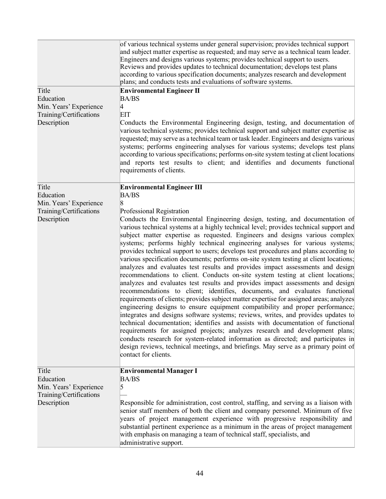| Title<br>Education<br>Min. Years' Experience<br>Training/Certifications<br>Description | of various technical systems under general supervision; provides technical support<br>and subject matter expertise as requested; and may serve as a technical team leader.<br>Engineers and designs various systems; provides technical support to users.<br>Reviews and provides updates to technical documentation; develops test plans<br>according to various specification documents; analyzes research and development<br>plans; and conducts tests and evaluations of software systems.<br><b>Environmental Engineer II</b><br><b>BA/BS</b><br>4<br>EIT<br>Conducts the Environmental Engineering design, testing, and documentation of<br>various technical systems; provides technical support and subject matter expertise as<br>requested; may serve as a technical team or task leader. Engineers and designs various<br>systems; performs engineering analyses for various systems; develops test plans<br>according to various specifications; performs on-site system testing at client locations<br>and reports test results to client; and identifies and documents functional<br>requirements of clients.                                                                                                                                                                                                                                                                                                                                                                                                                                                                |
|----------------------------------------------------------------------------------------|--------------------------------------------------------------------------------------------------------------------------------------------------------------------------------------------------------------------------------------------------------------------------------------------------------------------------------------------------------------------------------------------------------------------------------------------------------------------------------------------------------------------------------------------------------------------------------------------------------------------------------------------------------------------------------------------------------------------------------------------------------------------------------------------------------------------------------------------------------------------------------------------------------------------------------------------------------------------------------------------------------------------------------------------------------------------------------------------------------------------------------------------------------------------------------------------------------------------------------------------------------------------------------------------------------------------------------------------------------------------------------------------------------------------------------------------------------------------------------------------------------------------------------------------------------------------------------------------|
| Title<br>Education<br>Min. Years' Experience<br>Training/Certifications<br>Description | <b>Environmental Engineer III</b><br><b>BA/BS</b><br>8<br>Professional Registration<br>Conducts the Environmental Engineering design, testing, and documentation of<br>various technical systems at a highly technical level; provides technical support and<br>subject matter expertise as requested. Engineers and designs various complex<br>systems; performs highly technical engineering analyses for various systems;<br>provides technical support to users; develops test procedures and plans according to<br>various specification documents; performs on-site system testing at client locations;<br>analyzes and evaluates test results and provides impact assessments and design<br>recommendations to client. Conducts on-site system testing at client locations;<br>analyzes and evaluates test results and provides impact assessments and design<br>recommendations to client; identifies, documents, and evaluates functional<br>requirements of clients; provides subject matter expertise for assigned areas; analyzes<br>engineering designs to ensure equipment compatibility and proper performance;<br>integrates and designs software systems; reviews, writes, and provides updates to<br>technical documentation; identifies and assists with documentation of functional<br>requirements for assigned projects; analyzes research and development plans;<br>conducts research for system-related information as directed; and participates in<br>design reviews, technical meetings, and briefings. May serve as a primary point of<br>contact for clients. |
| Title<br>Education<br>Min. Years' Experience<br>Training/Certifications<br>Description | <b>Environmental Manager I</b><br><b>BA/BS</b><br>5<br>Responsible for administration, cost control, staffing, and serving as a liaison with<br>senior staff members of both the client and company personnel. Minimum of five<br>years of project management experience with progressive responsibility and<br>substantial pertinent experience as a minimum in the areas of project management<br>with emphasis on managing a team of technical staff, specialists, and<br>administrative support.                                                                                                                                                                                                                                                                                                                                                                                                                                                                                                                                                                                                                                                                                                                                                                                                                                                                                                                                                                                                                                                                                       |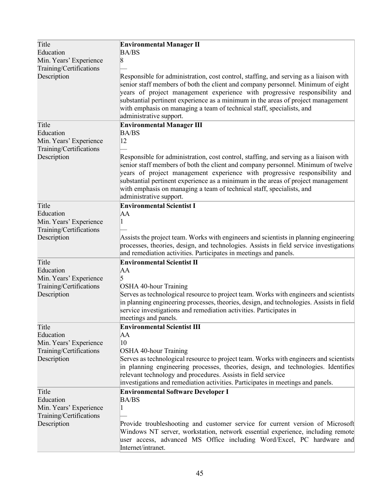| Title<br>Education<br>Min. Years' Experience                                           | <b>Environmental Manager II</b><br><b>BA/BS</b><br>8                                                                                                                                                                                                                                                                                                                                                                                           |
|----------------------------------------------------------------------------------------|------------------------------------------------------------------------------------------------------------------------------------------------------------------------------------------------------------------------------------------------------------------------------------------------------------------------------------------------------------------------------------------------------------------------------------------------|
| Training/Certifications<br>Description                                                 | Responsible for administration, cost control, staffing, and serving as a liaison with<br>senior staff members of both the client and company personnel. Minimum of eight<br>years of project management experience with progressive responsibility and<br>substantial pertinent experience as a minimum in the areas of project management<br>with emphasis on managing a team of technical staff, specialists, and<br>administrative support. |
| Title<br>Education<br>Min. Years' Experience<br>Training/Certifications<br>Description | <b>Environmental Manager III</b><br><b>BA/BS</b><br>12<br>Responsible for administration, cost control, staffing, and serving as a liaison with<br>senior staff members of both the client and company personnel. Minimum of twelve<br>years of project management experience with progressive responsibility and<br>substantial pertinent experience as a minimum in the areas of project management                                          |
| Title<br>Education                                                                     | with emphasis on managing a team of technical staff, specialists, and<br>administrative support.<br><b>Environmental Scientist I</b><br>AΑ                                                                                                                                                                                                                                                                                                     |
| Min. Years' Experience<br>Training/Certifications<br>Description                       | 1<br>Assists the project team. Works with engineers and scientists in planning engineering<br>processes, theories, design, and technologies. Assists in field service investigations<br>and remediation activities. Participates in meetings and panels.                                                                                                                                                                                       |
| Title<br>Education<br>Min. Years' Experience<br>Training/Certifications<br>Description | <b>Environmental Scientist II</b><br>AΑ<br><b>OSHA 40-hour Training</b><br>Serves as technological resource to project team. Works with engineers and scientists<br>in planning engineering processes, theories, design, and technologies. Assists in field<br>service investigations and remediation activities. Participates in<br>meetings and panels.                                                                                      |
| Title<br>Education<br>Min. Years' Experience<br>Training/Certifications<br>Description | <b>Environmental Scientist III</b><br>AΑ<br>10<br><b>OSHA 40-hour Training</b><br>Serves as technological resource to project team. Works with engineers and scientists<br>in planning engineering processes, theories, design, and technologies. Identifies<br>relevant technology and procedures. Assists in field service<br>investigations and remediation activities. Participates in meetings and panels.                                |
| Title<br>Education<br>Min. Years' Experience<br>Training/Certifications<br>Description | <b>Environmental Software Developer I</b><br>BA/BS<br>1<br>Provide troubleshooting and customer service for current version of Microsoft<br>Windows NT server, workstation, network essential experience, including remote<br>user access, advanced MS Office including Word/Excel, PC hardware and<br>Internet/intranet.                                                                                                                      |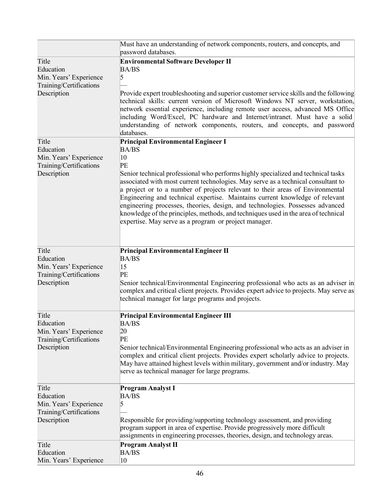|                                                                                        | Must have an understanding of network components, routers, and concepts, and<br>password databases.                                                                                                                                                                                                                                                                                                                                                                                                                                                                                                                                              |
|----------------------------------------------------------------------------------------|--------------------------------------------------------------------------------------------------------------------------------------------------------------------------------------------------------------------------------------------------------------------------------------------------------------------------------------------------------------------------------------------------------------------------------------------------------------------------------------------------------------------------------------------------------------------------------------------------------------------------------------------------|
| Title<br>Education<br>Min. Years' Experience<br>Training/Certifications<br>Description | <b>Environmental Software Developer II</b><br><b>BA/BS</b><br>5<br>Provide expert troubleshooting and superior customer service skills and the following<br>technical skills: current version of Microsoft Windows NT server, workstation,<br>network essential experience, including remote user access, advanced MS Office<br>including Word/Excel, PC hardware and Internet/intranet. Must have a solid<br>understanding of network components, routers, and concepts, and password<br>databases.                                                                                                                                             |
| Title<br>Education<br>Min. Years' Experience<br>Training/Certifications<br>Description | <b>Principal Environmental Engineer I</b><br><b>BA/BS</b><br>10<br>PE<br>Senior technical professional who performs highly specialized and technical tasks<br>associated with most current technologies. May serve as a technical consultant to<br>a project or to a number of projects relevant to their areas of Environmental<br>Engineering and technical expertise. Maintains current knowledge of relevant<br>engineering processes, theories, design, and technologies. Possesses advanced<br>knowledge of the principles, methods, and techniques used in the area of technical<br>expertise. May serve as a program or project manager. |
| Title<br>Education<br>Min. Years' Experience<br>Training/Certifications<br>Description | <b>Principal Environmental Engineer II</b><br><b>BA/BS</b><br>15<br>PE<br>Senior technical/Environmental Engineering professional who acts as an adviser in<br>complex and critical client projects. Provides expert advice to projects. May serve as<br>technical manager for large programs and projects.                                                                                                                                                                                                                                                                                                                                      |
| Title<br>Education<br>Min. Years' Experience<br>Training/Certifications<br>Description | <b>Principal Environmental Engineer III</b><br>BA/BS<br>20<br>PE<br>Senior technical/Environmental Engineering professional who acts as an adviser in<br>complex and critical client projects. Provides expert scholarly advice to projects.<br>May have attained highest levels within military, government and/or industry. May<br>serve as technical manager for large programs.                                                                                                                                                                                                                                                              |
| Title<br>Education<br>Min. Years' Experience<br>Training/Certifications<br>Description | Program Analyst I<br><b>BA/BS</b><br>5<br>Responsible for providing/supporting technology assessment, and providing<br>program support in area of expertise. Provide progressively more difficult<br>assignments in engineering processes, theories, design, and technology areas.                                                                                                                                                                                                                                                                                                                                                               |
| Title<br>Education<br>Min. Years' Experience                                           | <b>Program Analyst II</b><br><b>BA/BS</b><br>10                                                                                                                                                                                                                                                                                                                                                                                                                                                                                                                                                                                                  |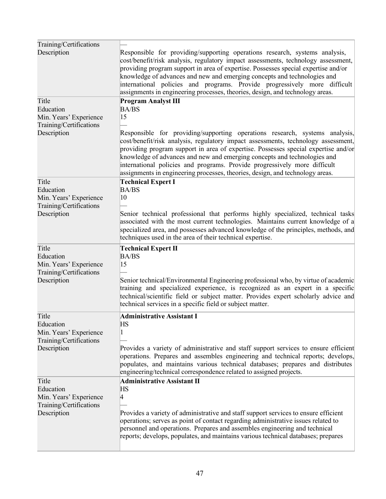| Training/Certifications                           |                                                                                                                                                                                                                                                                                                                                                                                                                                                                                                  |
|---------------------------------------------------|--------------------------------------------------------------------------------------------------------------------------------------------------------------------------------------------------------------------------------------------------------------------------------------------------------------------------------------------------------------------------------------------------------------------------------------------------------------------------------------------------|
| Description                                       | Responsible for providing/supporting operations research, systems analysis,<br>cost/benefit/risk analysis, regulatory impact assessments, technology assessment,<br>providing program support in area of expertise. Possesses special expertise and/or<br>knowledge of advances and new and emerging concepts and technologies and<br>international policies and programs. Provide progressively more difficult<br>assignments in engineering processes, theories, design, and technology areas. |
| Title                                             | <b>Program Analyst III</b>                                                                                                                                                                                                                                                                                                                                                                                                                                                                       |
| Education<br>Min. Years' Experience               | <b>BA/BS</b><br>15                                                                                                                                                                                                                                                                                                                                                                                                                                                                               |
| Training/Certifications                           |                                                                                                                                                                                                                                                                                                                                                                                                                                                                                                  |
| Description                                       | Responsible for providing/supporting operations research, systems analysis,<br>cost/benefit/risk analysis, regulatory impact assessments, technology assessment,<br>providing program support in area of expertise. Possesses special expertise and/or<br>knowledge of advances and new and emerging concepts and technologies and<br>international policies and programs. Provide progressively more difficult<br>assignments in engineering processes, theories, design, and technology areas. |
| Title                                             | <b>Technical Expert I</b>                                                                                                                                                                                                                                                                                                                                                                                                                                                                        |
| Education<br>Min. Years' Experience               | <b>BA/BS</b><br>$ 10\rangle$                                                                                                                                                                                                                                                                                                                                                                                                                                                                     |
| Training/Certifications                           |                                                                                                                                                                                                                                                                                                                                                                                                                                                                                                  |
| Description                                       | Senior technical professional that performs highly specialized, technical tasks<br>associated with the most current technologies. Maintains current knowledge of a<br>specialized area, and possesses advanced knowledge of the principles, methods, and<br>techniques used in the area of their technical expertise.                                                                                                                                                                            |
|                                                   |                                                                                                                                                                                                                                                                                                                                                                                                                                                                                                  |
| Title                                             | <b>Technical Expert II</b>                                                                                                                                                                                                                                                                                                                                                                                                                                                                       |
| Education                                         | <b>BA/BS</b>                                                                                                                                                                                                                                                                                                                                                                                                                                                                                     |
| Min. Years' Experience<br>Training/Certifications | 15                                                                                                                                                                                                                                                                                                                                                                                                                                                                                               |
| Description                                       | Senior technical/Environmental Engineering professional who, by virtue of academic<br>training and specialized experience, is recognized as an expert in a specific<br>technical/scientific field or subject matter. Provides expert scholarly advice and<br>technical services in a specific field or subject matter.                                                                                                                                                                           |
| Title                                             | <b>Administrative Assistant I</b>                                                                                                                                                                                                                                                                                                                                                                                                                                                                |
| Education                                         | HS                                                                                                                                                                                                                                                                                                                                                                                                                                                                                               |
| Min. Years' Experience                            |                                                                                                                                                                                                                                                                                                                                                                                                                                                                                                  |
| Training/Certifications<br>Description            | Provides a variety of administrative and staff support services to ensure efficient<br>operations. Prepares and assembles engineering and technical reports; develops,<br>populates, and maintains various technical databases; prepares and distributes<br>engineering/technical correspondence related to assigned projects.                                                                                                                                                                   |
| Title                                             | <b>Administrative Assistant II</b>                                                                                                                                                                                                                                                                                                                                                                                                                                                               |
| Education                                         | ΗS                                                                                                                                                                                                                                                                                                                                                                                                                                                                                               |
| Min. Years' Experience<br>Training/Certifications | 4                                                                                                                                                                                                                                                                                                                                                                                                                                                                                                |
| Description                                       | Provides a variety of administrative and staff support services to ensure efficient                                                                                                                                                                                                                                                                                                                                                                                                              |
|                                                   | operations; serves as point of contact regarding administrative issues related to<br>personnel and operations. Prepares and assembles engineering and technical<br>reports; develops, populates, and maintains various technical databases; prepares                                                                                                                                                                                                                                             |